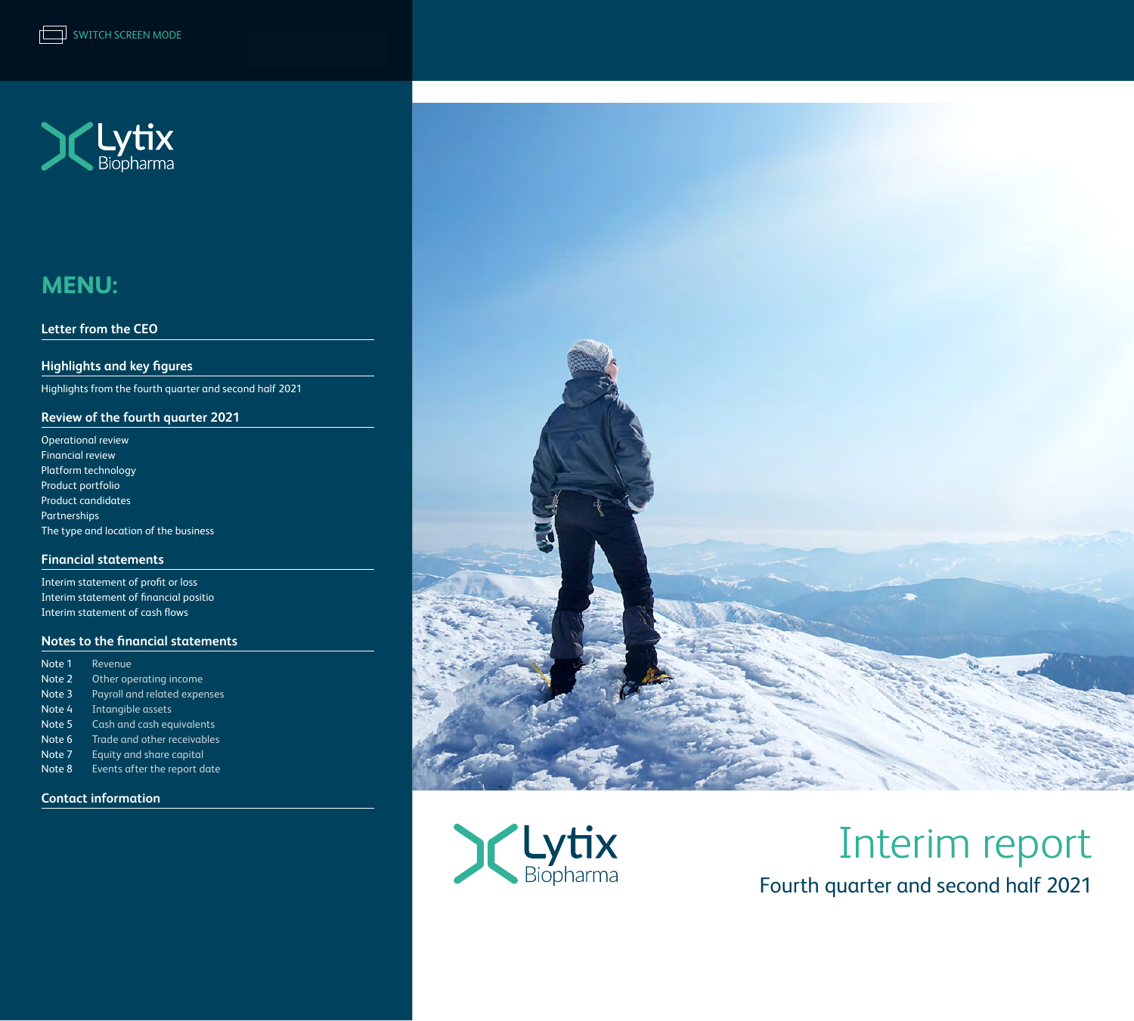

#### **[Letter from the CEO](#page-1-0)**

**[Highlights and key figures](#page-2-0)**

[Highlights from the fourth quarter and second half 2021](#page-2-0) 

#### **[Review of the fourth quarter 2021](#page-3-0)**

[Operational review](#page-3-0)  [Financial review](#page-4-0) [Platform technology](#page-5-0) [Product portfolio](#page-5-0) [Product candidates](#page-6-0) [Partnerships](#page-7-0) [The type and location of the business](#page-7-0)

#### **[Financial statements](#page-10-0)**

[Interim statement of profit or loss](#page-10-0) [Interim statement of financial positio](#page-11-0) [Interim statement of cash flows](#page-12-0)

#### **[Notes to the financial statements](#page-13-0)**

| Note 1 | Revenue                      |
|--------|------------------------------|
| Note 2 | Other operating income       |
| Note 3 | Payroll and related expenses |
| Note 4 | Intangible assets            |
| Note 5 | Cash and cash equivalents    |
| Note 6 | Trade and other receivables  |
| Note 7 | Equity and share capital     |
| Note 8 | Events after the report date |
|        |                              |

**[Contact information](#page-19-0)**





# Interim report Fourth quarter and second half 2021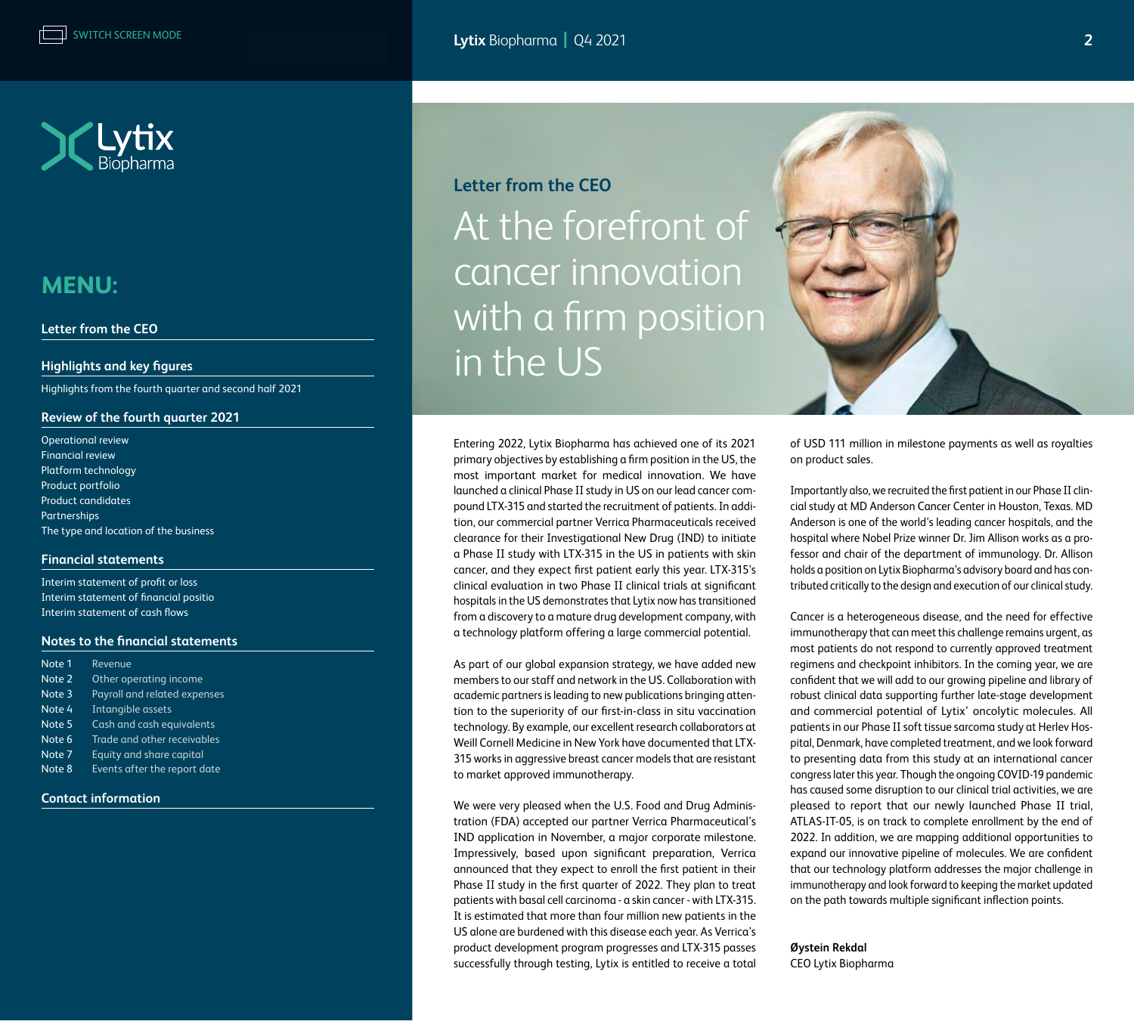<span id="page-1-0"></span>

#### **Letter from the CEO**

#### **[Highlights and key figures](#page-2-0)**

[Highlights from the fourth quarter and second half 2021](#page-2-0) 

#### **[Review of the fourth quarter 2021](#page-3-0)**

| <b>Operational review</b>             |
|---------------------------------------|
| <b>Financial review</b>               |
| Platform technology                   |
| Product portfolio                     |
| <b>Product candidates</b>             |
| <b>Partnerships</b>                   |
| The type and location of the business |

#### **[Financial statements](#page-10-0)**

[Interim statement of profit or loss](#page-10-0) [Interim statement of financial positio](#page-11-0) [Interim statement of cash flows](#page-12-0)

#### **[Notes to the financial statements](#page-13-0)**

| Note 1 | Revenue                      |
|--------|------------------------------|
| Note 2 | Other operating income       |
| Note 3 | Payroll and related expenses |
| Note 4 | Intangible assets            |
| Note 5 | Cash and cash equivalents    |
| Note 6 | Trade and other receivables  |
| Note 7 | Equity and share capital     |
| Note 8 | Events after the report date |
|        |                              |

#### **[Contact information](#page-19-0)**

### **Letter from the CEO**

At the forefront of cancer innovation with a firm position in the US

Entering 2022, Lytix Biopharma has achieved one of its 2021 primary objectives by establishing a firm position in the US, the most important market for medical innovation. We have launched a clinical Phase II study in US on our lead cancer compound LTX-315 and started the recruitment of patients. In addition, our commercial partner Verrica Pharmaceuticals received clearance for their Investigational New Drug (IND) to initiate a Phase II study with LTX-315 in the US in patients with skin cancer, and they expect first patient early this year. LTX-315's clinical evaluation in two Phase II clinical trials at significant hospitals in the US demonstrates that Lytix now has transitioned from a discovery to a mature drug development company, with a technology platform offering a large commercial potential.

As part of our global expansion strategy, we have added new members to our staff and network in the US. Collaboration with academic partners is leading to new publications bringing attention to the superiority of our first-in-class in situ vaccination technology. By example, our excellent research collaborators at Weill Cornell Medicine in New York have documented that LTX-315 works in aggressive breast cancer models that are resistant to market approved immunotherapy.

We were very pleased when the U.S. Food and Drug Administration (FDA) accepted our partner Verrica Pharmaceutical's IND application in November, a major corporate milestone. Impressively, based upon significant preparation, Verrica announced that they expect to enroll the first patient in their Phase II study in the first quarter of 2022. They plan to treat patients with basal cell carcinoma - a skin cancer - with LTX-315. It is estimated that more than four million new patients in the US alone are burdened with this disease each year. As Verrica's product development program progresses and LTX-315 passes successfully through testing, Lytix is entitled to receive a total



of USD 111 million in milestone payments as well as royalties on product sales.

Importantly also, we recruited the first patient in our Phase II clincial study at MD Anderson Cancer Center in Houston, Texas. MD Anderson is one of the world's leading cancer hospitals, and the hospital where Nobel Prize winner Dr. Jim Allison works as a professor and chair of the department of immunology. Dr. Allison holds a position on Lytix Biopharma's advisory board and has contributed critically to the design and execution of our clinical study.

Cancer is a heterogeneous disease, and the need for effective immunotherapy that can meet this challenge remains urgent, as most patients do not respond to currently approved treatment regimens and checkpoint inhibitors. In the coming year, we are confident that we will add to our growing pipeline and library of robust clinical data supporting further late-stage development and commercial potential of Lytix' oncolytic molecules. All patients in our Phase II soft tissue sarcoma study at Herlev Hospital, Denmark, have completed treatment, and we look forward to presenting data from this study at an international cancer congress later this year. Though the ongoing COVID-19 pandemic has caused some disruption to our clinical trial activities, we are pleased to report that our newly launched Phase II trial, ATLAS-IT-05, is on track to complete enrollment by the end of 2022. In addition, we are mapping additional opportunities to expand our innovative pipeline of molecules. We are confident that our technology platform addresses the major challenge in immunotherapy and look forward to keeping the market updated on the path towards multiple significant inflection points.

**Øystein Rekdal** CEO Lytix Biopharma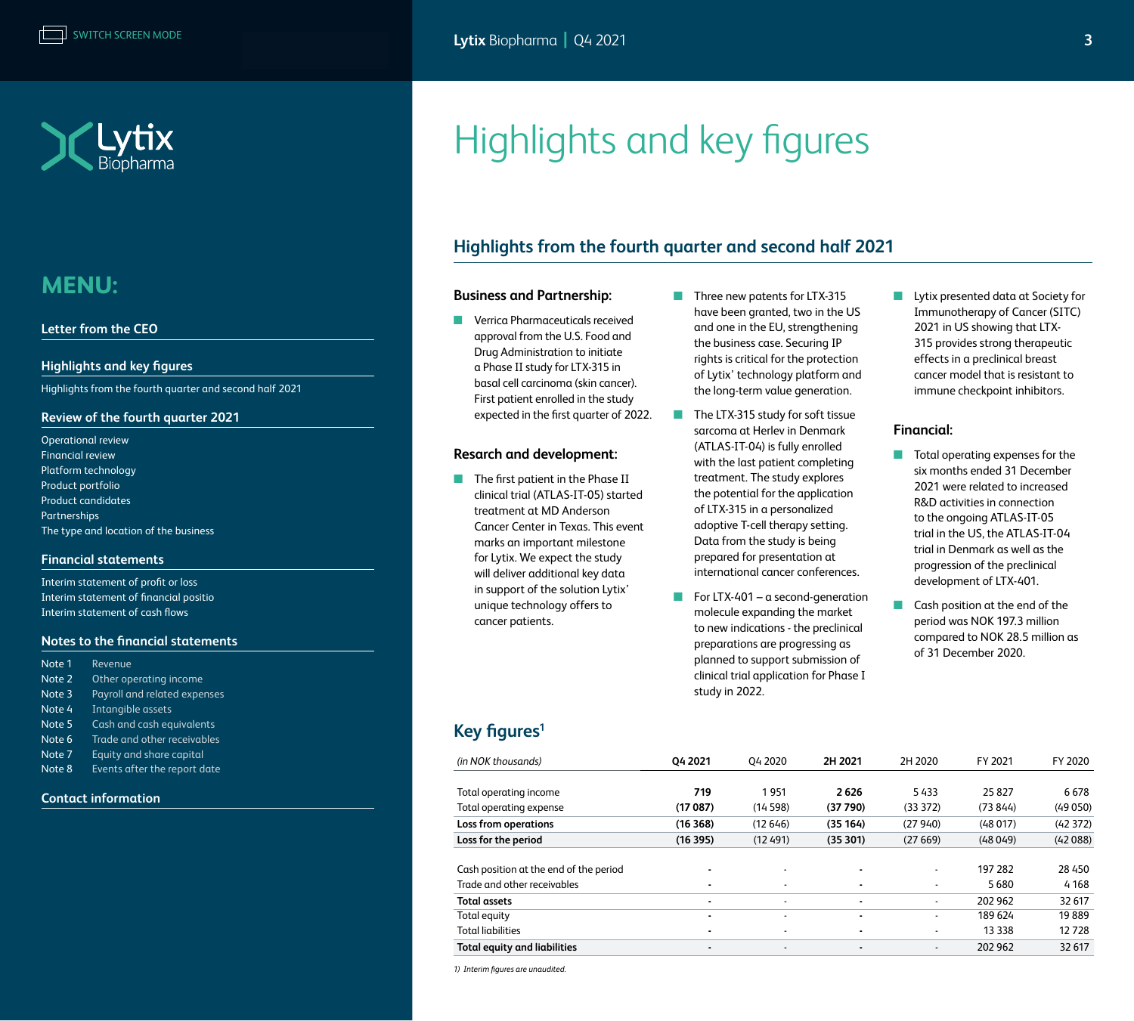<span id="page-2-0"></span>

#### **[Letter from the CEO](#page-1-0)**

#### **Highlights and key figures**

Highlights from the fourth quarter and second half 2021

#### **[Review of the fourth quarter 2021](#page-3-0)**

[Operational review](#page-3-0)  [Financial review](#page-4-0) [Platform technology](#page-5-0) [Product portfolio](#page-5-0) [Product candidates](#page-6-0) [Partnerships](#page-7-0) [The type and location of the business](#page-7-0)

#### **[Financial statements](#page-10-0)**

[Interim statement of profit or loss](#page-10-0) [Interim statement of financial positio](#page-11-0) [Interim statement of cash flows](#page-12-0)

#### **[Notes to the financial statements](#page-13-0)**

| Note 1 | Revenue                      |
|--------|------------------------------|
| Note 2 | Other operating income       |
| Note 3 | Payroll and related expenses |
| Note 4 | Intangible assets            |
| Note 5 | Cash and cash equivalents    |
| Note 6 | Trade and other receivables  |
| Note 7 | Equity and share capital     |
| Note 8 | Events after the report date |
|        |                              |

#### **[Contact information](#page-19-0)**

Highlights and key figures

### **Highlights from the fourth quarter and second half 2021**

#### **Business and Partnership:**

- Verrica Pharmaceuticals received approval from the U.S. Food and Drug Administration to initiate a Phase II study for LTX-315 in basal cell carcinoma (skin cancer). First patient enrolled in the study expected in the first quarter of 2022.
- The first patient in the Phase II treatment at MD Anderson marks an important milestone for Lytix. We expect the study will deliver additional key data in support of the solution Lytix' unique technology offers to cancer patients.
- Three new patents for LTX-315 have been granted, two in the US and one in the EU, strengthening the business case. Securing IP rights is critical for the protection of Lytix' technology platform and the long-term value generation.
- The LTX-315 study for soft tissue sarcoma at Herlev in Denmark (ATLAS-IT-04) is fully enrolled with the last patient completing treatment. The study explores the potential for the application of LTX-315 in a personalized adoptive T-cell therapy setting. Data from the study is being prepared for presentation at international cancer conferences.
- $\blacksquare$  For LTX-401 a second-generation molecule expanding the market to new indications - the preclinical preparations are progressing as planned to support submission of clinical trial application for Phase I study in 2022.

■ Lytix presented data at Society for Immunotherapy of Cancer (SITC) 2021 in US showing that LTX-315 provides strong therapeutic effects in a preclinical breast cancer model that is resistant to immune checkpoint inhibitors.

#### **Financial:**

- Total operating expenses for the six months ended 31 December 2021 were related to increased R&D activities in connection to the ongoing ATLAS-IT-05 trial in the US, the ATLAS-IT-04 trial in Denmark as well as the progression of the preclinical development of LTX-401.
- Cash position at the end of the period was NOK 197.3 million compared to NOK 28.5 million as of 31 December 2020.

- **Resarch and development:** 
	- clinical trial (ATLAS-IT-05) started Cancer Center in Texas. This event
	- **Key figures1**

| (in NOK thousands)                     | 04 2021 | 04 2020                  | 2H 2021  | 2H 2020                  | FY 2021  | FY 2020 |
|----------------------------------------|---------|--------------------------|----------|--------------------------|----------|---------|
|                                        |         |                          |          |                          |          |         |
| Total operating income                 | 719     | 1951                     | 2626     | 5433                     | 25827    | 6678    |
| Total operating expense                | (17087) | (14598)                  | (37790)  | (33372)                  | (73 844) | (49050) |
| Loss from operations                   | (16368) | (12646)                  | (35 164) | (27940)                  | (48017)  | (42372) |
| Loss for the period                    | (16395) | (12491)                  | (35301)  | (27669)                  | (48049)  | (42088) |
|                                        |         |                          |          |                          |          |         |
| Cash position at the end of the period |         |                          |          | $\overline{\phantom{a}}$ | 197 282  | 28 450  |
| Trade and other receivables            |         |                          |          | $\overline{\phantom{a}}$ | 5680     | 4 1 6 8 |
| <b>Total assets</b>                    |         | $\overline{\phantom{0}}$ |          | $\overline{\phantom{a}}$ | 202 962  | 32 617  |
| Total equity                           |         | $\overline{\phantom{a}}$ |          | $\overline{\phantom{a}}$ | 189 624  | 19889   |
| <b>Total liabilities</b>               |         |                          |          | $\overline{\phantom{a}}$ | 13 3 38  | 12728   |
| <b>Total equity and liabilities</b>    |         | $\overline{\phantom{0}}$ |          | $\overline{\phantom{a}}$ | 202 962  | 32 617  |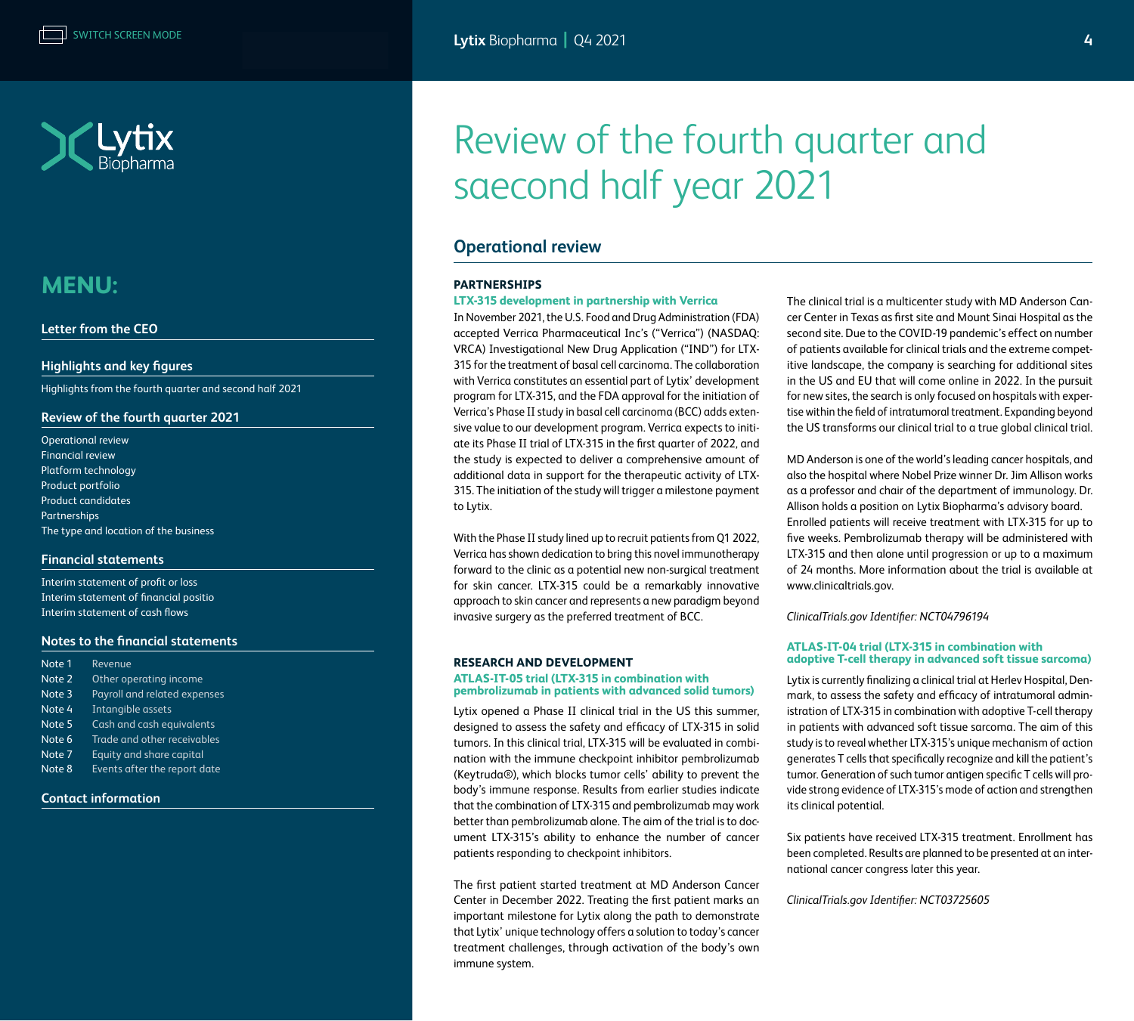<span id="page-3-0"></span>

#### **[Letter from the CEO](#page-1-0)**

#### **[Highlights and key figures](#page-2-0)**

[Highlights from the fourth quarter and second half 2021](#page-2-0) 

#### **Review of the fourth quarter 2021**

Operational review [Financial review](#page-4-0) [Platform technology](#page-5-0) [Product portfolio](#page-5-0) [Product candidates](#page-6-0) [Partnerships](#page-7-0) [The type and location of the business](#page-7-0)

#### **[Financial statements](#page-10-0)**

[Interim statement of profit or loss](#page-10-0) [Interim statement of financial positio](#page-11-0) [Interim statement of cash flows](#page-12-0)

#### **[Notes to the financial statements](#page-13-0)**

| Note 1 | Revenue                      |
|--------|------------------------------|
| Note 2 | Other operating income       |
| Note 3 | Payroll and related expenses |
| Note 4 | Intangible assets            |
| Note 5 | Cash and cash equivalents    |
| Note 6 | Trade and other receivables  |
| Note 7 | Equity and share capital     |
| Note 8 | Events after the report date |

#### **[Contact information](#page-19-0)**

# Review of the fourth quarter and saecond half year 2021

### **Operational review**

#### **PARTNERSHIPS**

#### **LTX-315 development in partnership with Verrica**

In November 2021, the U.S. Food and Drug Administration (FDA) accepted Verrica Pharmaceutical Inc's ("Verrica") (NASDAQ: VRCA) Investigational New Drug Application ("IND") for LTX-315 for the treatment of basal cell carcinoma. The collaboration with Verrica constitutes an essential part of Lytix' development program for LTX-315, and the FDA approval for the initiation of Verrica's Phase II study in basal cell carcinoma (BCC) adds extensive value to our development program. Verrica expects to initiate its Phase II trial of LTX-315 in the first quarter of 2022, and the study is expected to deliver a comprehensive amount of additional data in support for the therapeutic activity of LTX-315. The initiation of the study will trigger a milestone payment to Lytix.

With the Phase II study lined up to recruit patients from Q1 2022, Verrica has shown dedication to bring this novel immunotherapy forward to the clinic as a potential new non-surgical treatment for skin cancer. LTX-315 could be a remarkably innovative approach to skin cancer and represents a new paradigm beyond invasive surgery as the preferred treatment of BCC.

#### **RESEARCH AND DEVELOPMENT**

#### **ATLAS-IT-05 trial (LTX-315 in combination with pembrolizumab in patients with advanced solid tumors)**

Lytix opened a Phase II clinical trial in the US this summer, designed to assess the safety and efficacy of LTX-315 in solid tumors. In this clinical trial, LTX-315 will be evaluated in combination with the immune checkpoint inhibitor pembrolizumab (Keytruda®), which blocks tumor cells' ability to prevent the body's immune response. Results from earlier studies indicate that the combination of LTX-315 and pembrolizumab may work better than pembrolizumab alone. The aim of the trial is to document LTX-315's ability to enhance the number of cancer patients responding to checkpoint inhibitors.

The first patient started treatment at MD Anderson Cancer Center in December 2022. Treating the first patient marks an important milestone for Lytix along the path to demonstrate that Lytix' unique technology offers a solution to today's cancer treatment challenges, through activation of the body's own immune system.

The clinical trial is a multicenter study with MD Anderson Cancer Center in Texas as first site and Mount Sinai Hospital as the second site. Due to the COVID-19 pandemic's effect on number of patients available for clinical trials and the extreme competitive landscape, the company is searching for additional sites in the US and EU that will come online in 2022. In the pursuit for new sites, the search is only focused on hospitals with expertise within the field of intratumoral treatment. Expanding beyond the US transforms our clinical trial to a true global clinical trial.

MD Anderson is one of the world's leading cancer hospitals, and also the hospital where Nobel Prize winner Dr. Jim Allison works as a professor and chair of the department of immunology. Dr. Allison holds a position on Lytix Biopharma's advisory board. Enrolled patients will receive treatment with LTX-315 for up to five weeks. Pembrolizumab therapy will be administered with LTX-315 and then alone until progression or up to a maximum of 24 months. More information about the trial is available at www.clinicaltrials.gov.

*ClinicalTrials.gov Identifier: NCT04796194*

#### **ATLAS-IT-04 trial (LTX-315 in combination with adoptive T-cell therapy in advanced soft tissue sarcoma)**

Lytix is currently finalizing a clinical trial at Herlev Hospital, Denmark, to assess the safety and efficacy of intratumoral administration of LTX-315 in combination with adoptive T-cell therapy in patients with advanced soft tissue sarcoma. The aim of this study is to reveal whether LTX-315's unique mechanism of action generates T cells that specifically recognize and kill the patient's tumor. Generation of such tumor antigen specific T cells will provide strong evidence of LTX-315's mode of action and strengthen its clinical potential.

Six patients have received LTX-315 treatment. Enrollment has been completed. Results are planned to be presented at an international cancer congress later this year.

#### *ClinicalTrials.gov Identifier: NCT03725605*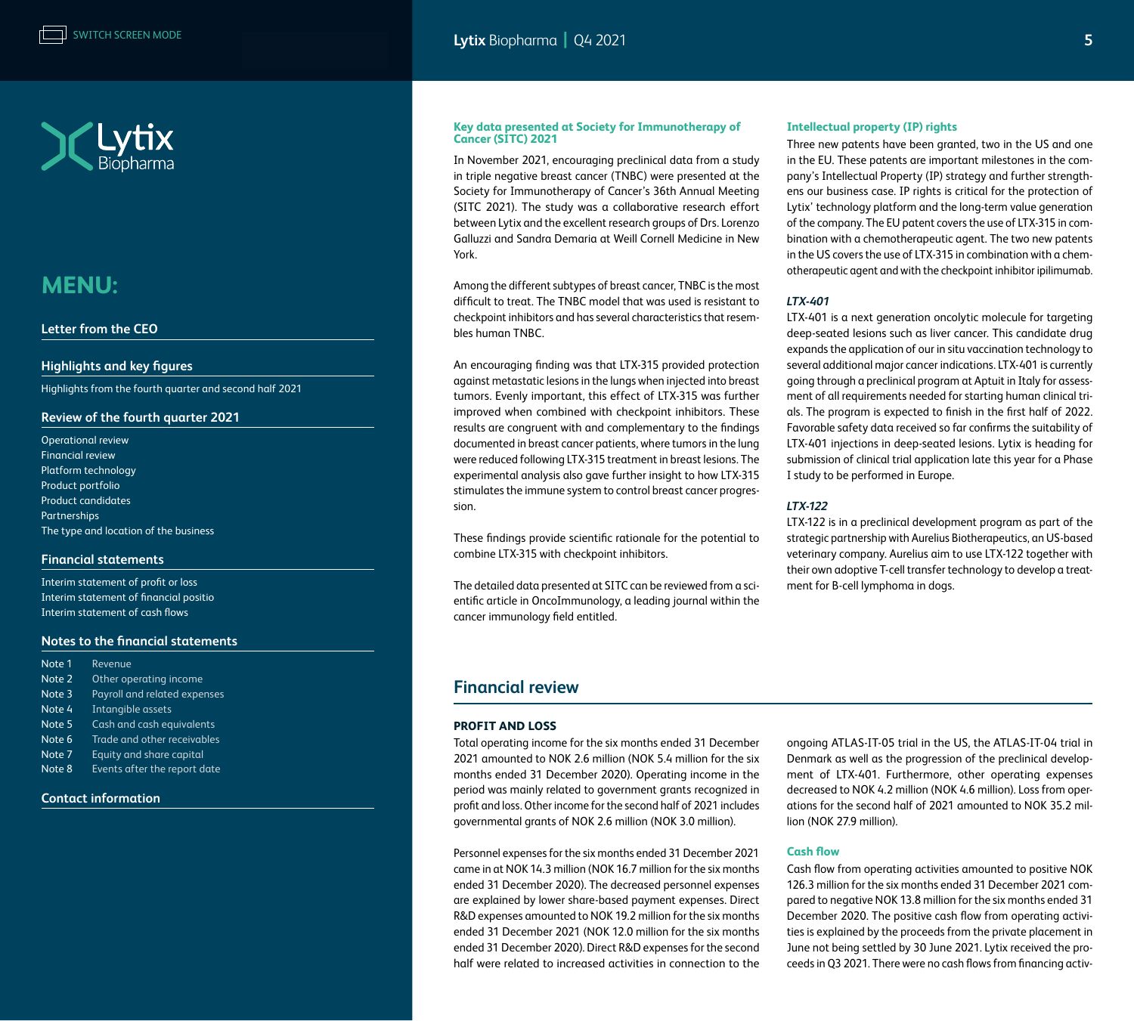

<span id="page-4-0"></span>

#### **[Letter from the CEO](#page-1-0)**

#### **[Highlights and key figures](#page-2-0)**

[Highlights from the fourth quarter and second half 2021](#page-2-0) 

#### **[Review of the fourth quarter 2021](#page-3-0)**

[Operational review](#page-3-0)  Financial review [Platform technology](#page-5-0) [Product portfolio](#page-5-0) [Product candidates](#page-6-0) [Partnerships](#page-7-0) [The type and location of the business](#page-7-0)

#### **[Financial statements](#page-10-0)**

[Interim statement of profit or loss](#page-10-0) [Interim statement of financial positio](#page-11-0) [Interim statement of cash flows](#page-12-0)

#### **[Notes to the financial statements](#page-13-0)**

| Note 1 | Revenue                      |
|--------|------------------------------|
| Note 2 | Other operating income       |
| Note 3 | Payroll and related expenses |
| Note 4 | Intangible assets            |
| Note 5 | Cash and cash equivalents    |
| Note 6 | Trade and other receivables  |
| Note 7 | Equity and share capital     |
| Note 8 | Events after the report date |
|        |                              |

#### **[Contact information](#page-19-0)**

#### **Key data presented at Society for Immunotherapy of Cancer (SITC) 2021**

In November 2021, encouraging preclinical data from a study in triple negative breast cancer (TNBC) were presented at the Society for Immunotherapy of Cancer's 36th Annual Meeting (SITC 2021). The study was a collaborative research effort between Lytix and the excellent research groups of Drs. Lorenzo Galluzzi and Sandra Demaria at Weill Cornell Medicine in New York.

Among the different subtypes of breast cancer, TNBC is the most difficult to treat. The TNBC model that was used is resistant to checkpoint inhibitors and has several characteristics that resembles human TNBC.

An encouraging finding was that LTX-315 provided protection against metastatic lesions in the lungs when injected into breast tumors. Evenly important, this effect of LTX-315 was further improved when combined with checkpoint inhibitors. These results are congruent with and complementary to the findings documented in breast cancer patients, where tumors in the lung were reduced following LTX-315 treatment in breast lesions. The experimental analysis also gave further insight to how LTX-315 stimulates the immune system to control breast cancer progression.

These findings provide scientific rationale for the potential to combine LTX-315 with checkpoint inhibitors.

The detailed data presented at SITC can be reviewed from a scientific article in OncoImmunology, a leading journal within the cancer immunology field entitled.

#### **Intellectual property (IP) rights**

Three new patents have been granted, two in the US and one in the EU. These patents are important milestones in the company's Intellectual Property (IP) strategy and further strengthens our business case. IP rights is critical for the protection of Lytix' technology platform and the long-term value generation of the company. The EU patent covers the use of LTX-315 in combination with a chemotherapeutic agent. The two new patents in the US covers the use of LTX-315 in combination with a chemotherapeutic agent and with the checkpoint inhibitor ipilimumab.

#### *LTX-401*

LTX-401 is a next generation oncolytic molecule for targeting deep-seated lesions such as liver cancer. This candidate drug expands the application of our in situ vaccination technology to several additional major cancer indications. LTX-401 is currently going through a preclinical program at Aptuit in Italy for assessment of all requirements needed for starting human clinical trials. The program is expected to finish in the first half of 2022. Favorable safety data received so far confirms the suitability of LTX-401 injections in deep-seated lesions. Lytix is heading for submission of clinical trial application late this year for a Phase I study to be performed in Europe.

#### *LTX-122*

LTX-122 is in a preclinical development program as part of the strategic partnership with Aurelius Biotherapeutics, an US-based veterinary company. Aurelius aim to use LTX-122 together with their own adoptive T-cell transfer technology to develop a treatment for B-cell lymphoma in dogs.

### **Financial review**

#### **PROFIT AND LOSS**

Total operating income for the six months ended 31 December 2021 amounted to NOK 2.6 million (NOK 5.4 million for the six months ended 31 December 2020). Operating income in the period was mainly related to government grants recognized in profit and loss. Other income for the second half of 2021 includes governmental grants of NOK 2.6 million (NOK 3.0 million).

Personnel expenses for the six months ended 31 December 2021 came in at NOK 14.3 million (NOK 16.7 million for the six months ended 31 December 2020). The decreased personnel expenses are explained by lower share-based payment expenses. Direct R&D expenses amounted to NOK 19.2 million for the six months ended 31 December 2021 (NOK 12.0 million for the six months ended 31 December 2020). Direct R&D expenses for the second half were related to increased activities in connection to the

ongoing ATLAS-IT-05 trial in the US, the ATLAS-IT-04 trial in Denmark as well as the progression of the preclinical development of LTX-401. Furthermore, other operating expenses decreased to NOK 4.2 million (NOK 4.6 million). Loss from operations for the second half of 2021 amounted to NOK 35.2 million (NOK 27.9 million).

#### **Cash flow**

Cash flow from operating activities amounted to positive NOK 126.3 million for the six months ended 31 December 2021 compared to negative NOK 13.8 million for the six months ended 31 December 2020. The positive cash flow from operating activities is explained by the proceeds from the private placement in June not being settled by 30 June 2021. Lytix received the proceeds in Q3 2021. There were no cash flows from financing activ-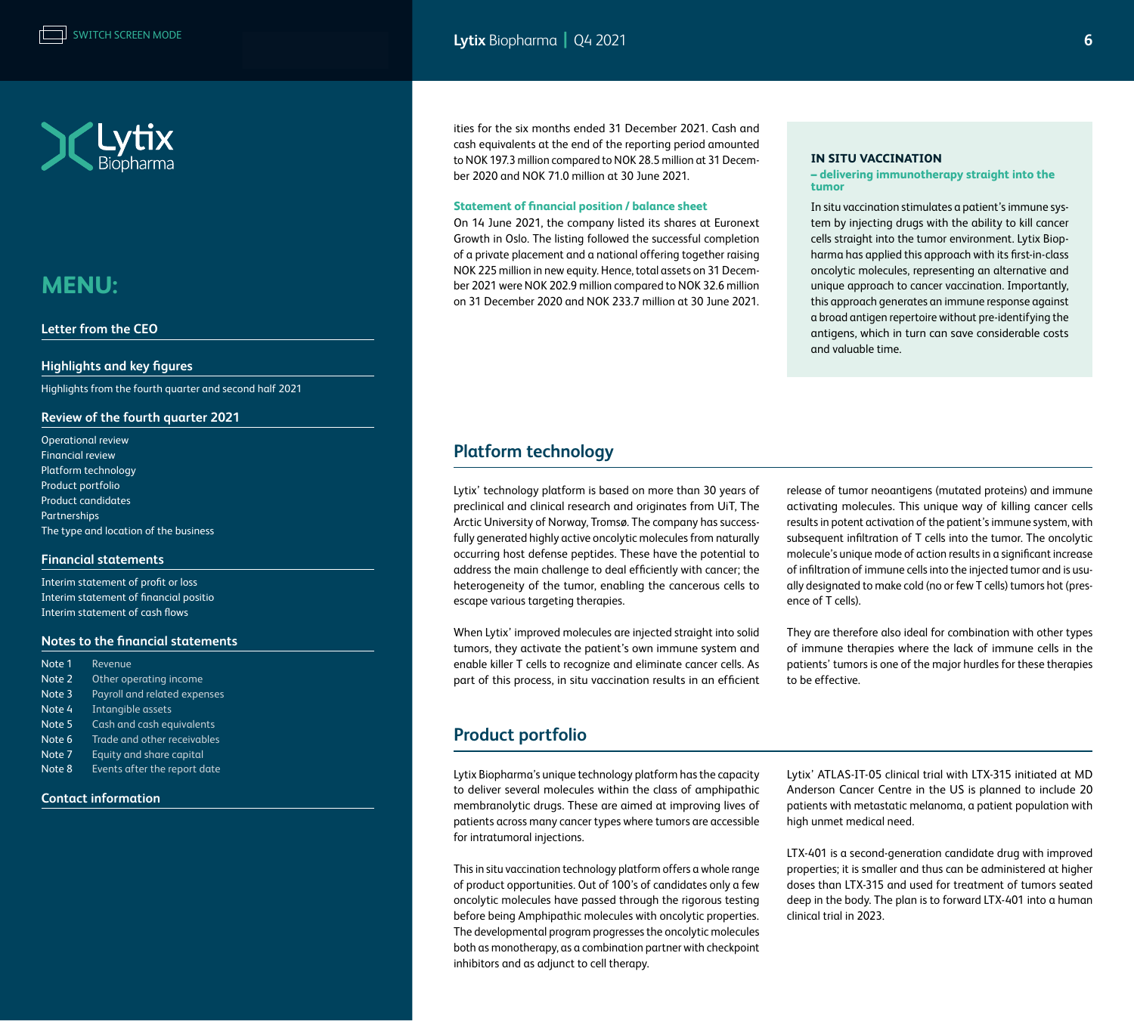<span id="page-5-0"></span>

#### **[Letter from the CEO](#page-1-0)**

#### **[Highlights and key figures](#page-2-0)**

[Highlights from the fourth quarter and second half 2021](#page-2-0) 

#### **[Review of the fourth quarter 2021](#page-3-0)**

[Operational review](#page-3-0)  [Financial review](#page-4-0) Platform technology Product portfolio [Product candidates](#page-6-0) [Partnerships](#page-7-0) [The type and location of the business](#page-7-0)

#### **[Financial statements](#page-10-0)**

[Interim statement of profit or loss](#page-10-0) [Interim statement of financial positio](#page-11-0) [Interim statement of cash flows](#page-12-0)

#### **[Notes to the financial statements](#page-13-0)**

| Note 1 | Revenue                      |
|--------|------------------------------|
| Note 2 | Other operating income       |
| Note 3 | Payroll and related expenses |
| Note 4 | Intangible assets            |
| Note 5 | Cash and cash equivalents    |
| Note 6 | Trade and other receivables  |
| Note 7 | Equity and share capital     |
| Note 8 | Events after the report date |
|        |                              |

#### **[Contact information](#page-19-0)**

ities for the six months ended 31 December 2021. Cash and cash equivalents at the end of the reporting period amounted to NOK 197.3 million compared to NOK 28.5 million at 31 December 2020 and NOK 71.0 million at 30 June 2021.

#### **Statement of financial position / balance sheet**

On 14 June 2021, the company listed its shares at Euronext Growth in Oslo. The listing followed the successful completion of a private placement and a national offering together raising NOK 225 million in new equity. Hence, total assets on 31 December 2021 were NOK 202.9 million compared to NOK 32.6 million on 31 December 2020 and NOK 233.7 million at 30 June 2021.

#### **IN SITU VACCINATION**

#### **– delivering immunotherapy straight into the tumor**

In situ vaccination stimulates a patient's immune system by injecting drugs with the ability to kill cancer cells straight into the tumor environment. Lytix Biopharma has applied this approach with its first-in-class oncolytic molecules, representing an alternative and unique approach to cancer vaccination. Importantly, this approach generates an immune response against a broad antigen repertoire without pre-identifying the antigens, which in turn can save considerable costs and valuable time.

### **Platform technology**

Lytix' technology platform is based on more than 30 years of preclinical and clinical research and originates from UiT, The Arctic University of Norway, Tromsø. The company has successfully generated highly active oncolytic molecules from naturally occurring host defense peptides. These have the potential to address the main challenge to deal efficiently with cancer; the heterogeneity of the tumor, enabling the cancerous cells to escape various targeting therapies.

When Lytix' improved molecules are injected straight into solid tumors, they activate the patient's own immune system and enable killer T cells to recognize and eliminate cancer cells. As part of this process, in situ vaccination results in an efficient release of tumor neoantigens (mutated proteins) and immune activating molecules. This unique way of killing cancer cells results in potent activation of the patient's immune system, with subsequent infiltration of T cells into the tumor. The oncolytic molecule's unique mode of action results in a significant increase of infiltration of immune cells into the injected tumor and is usually designated to make cold (no or few T cells) tumors hot (presence of T cells).

They are therefore also ideal for combination with other types of immune therapies where the lack of immune cells in the patients' tumors is one of the major hurdles for these therapies to be effective.

### **Product portfolio**

Lytix Biopharma's unique technology platform has the capacity to deliver several molecules within the class of amphipathic membranolytic drugs. These are aimed at improving lives of patients across many cancer types where tumors are accessible for intratumoral injections.

This in situ vaccination technology platform offers a whole range of product opportunities. Out of 100's of candidates only a few oncolytic molecules have passed through the rigorous testing before being Amphipathic molecules with oncolytic properties. The developmental program progresses the oncolytic molecules both as monotherapy, as a combination partner with checkpoint inhibitors and as adjunct to cell therapy.

Lytix' ATLAS-IT-05 clinical trial with LTX-315 initiated at MD Anderson Cancer Centre in the US is planned to include 20 patients with metastatic melanoma, a patient population with high unmet medical need.

LTX-401 is a second-generation candidate drug with improved properties; it is smaller and thus can be administered at higher doses than LTX-315 and used for treatment of tumors seated deep in the body. The plan is to forward LTX-401 into a human clinical trial in 2023.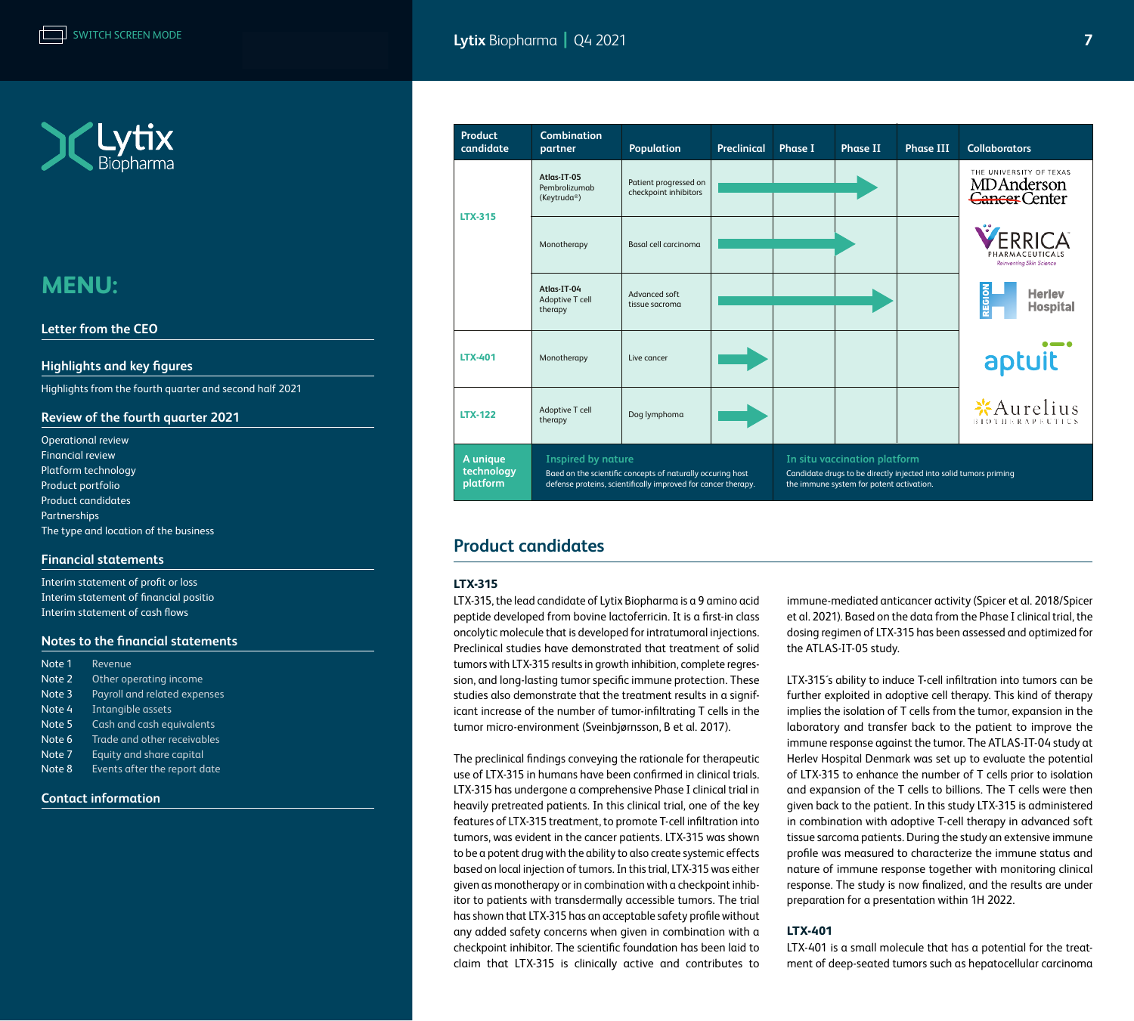<span id="page-6-0"></span>

#### **[Letter from the CEO](#page-1-0)**

#### **[Highlights and key figures](#page-2-0)**

[Highlights from the fourth quarter and second half 2021](#page-2-0) 

#### **[Review of the fourth quarter 2021](#page-3-0)**

[Operational review](#page-3-0)  [Financial review](#page-4-0) [Platform technology](#page-5-0) [Product portfolio](#page-5-0) Product candidates [Partnerships](#page-7-0) [The type and location of the business](#page-7-0)

#### **[Financial statements](#page-10-0)**

[Interim statement of profit or loss](#page-10-0) [Interim statement of financial positio](#page-11-0) [Interim statement of cash flows](#page-12-0)

#### **[Notes to the financial statements](#page-13-0)**

| Note 1 | Revenue                      |
|--------|------------------------------|
| Note 2 | Other operating income       |
| Note 3 | Payroll and related expenses |
| Note 4 | Intangible assets            |
| Note 5 | Cash and cash equivalents    |
| Note 6 | Trade and other receivables  |
| Note 7 | Equity and share capital     |
| Note 8 | Events after the report date |

#### **[Contact information](#page-19-0)**



### **Product candidates**

#### **LTX-315**

LTX-315, the lead candidate of Lytix Biopharma is a 9 amino acid peptide developed from bovine lactoferricin. It is a first-in class oncolytic molecule that is developed for intratumoral injections. Preclinical studies have demonstrated that treatment of solid tumors with LTX-315 results in growth inhibition, complete regression, and long-lasting tumor specific immune protection. These studies also demonstrate that the treatment results in a significant increase of the number of tumor-infiltrating T cells in the tumor micro-environment (Sveinbjørnsson, B et al. 2017).

The preclinical findings conveying the rationale for therapeutic use of LTX-315 in humans have been confirmed in clinical trials. LTX-315 has undergone a comprehensive Phase I clinical trial in heavily pretreated patients. In this clinical trial, one of the key features of LTX-315 treatment, to promote T-cell infiltration into tumors, was evident in the cancer patients. LTX-315 was shown to be a potent drug with the ability to also create systemic effects based on local injection of tumors. In this trial, LTX-315 was either given as monotherapy or in combination with a checkpoint inhibitor to patients with transdermally accessible tumors. The trial has shown that LTX-315 has an acceptable safety profile without any added safety concerns when given in combination with a checkpoint inhibitor. The scientific foundation has been laid to claim that LTX-315 is clinically active and contributes to

immune-mediated anticancer activity (Spicer et al. 2018/Spicer et al. 2021). Based on the data from the Phase I clinical trial, the dosing regimen of LTX-315 has been assessed and optimized for the ATLAS-IT-05 study.

LTX-315´s ability to induce T-cell infiltration into tumors can be further exploited in adoptive cell therapy. This kind of therapy implies the isolation of T cells from the tumor, expansion in the laboratory and transfer back to the patient to improve the immune response against the tumor. The ATLAS-IT-04 study at Herlev Hospital Denmark was set up to evaluate the potential of LTX-315 to enhance the number of T cells prior to isolation and expansion of the T cells to billions. The T cells were then given back to the patient. In this study LTX-315 is administered in combination with adoptive T-cell therapy in advanced soft tissue sarcoma patients. During the study an extensive immune profile was measured to characterize the immune status and nature of immune response together with monitoring clinical response. The study is now finalized, and the results are under preparation for a presentation within 1H 2022.

#### **LTX-401**

LTX-401 is a small molecule that has a potential for the treatment of deep-seated tumors such as hepatocellular carcinoma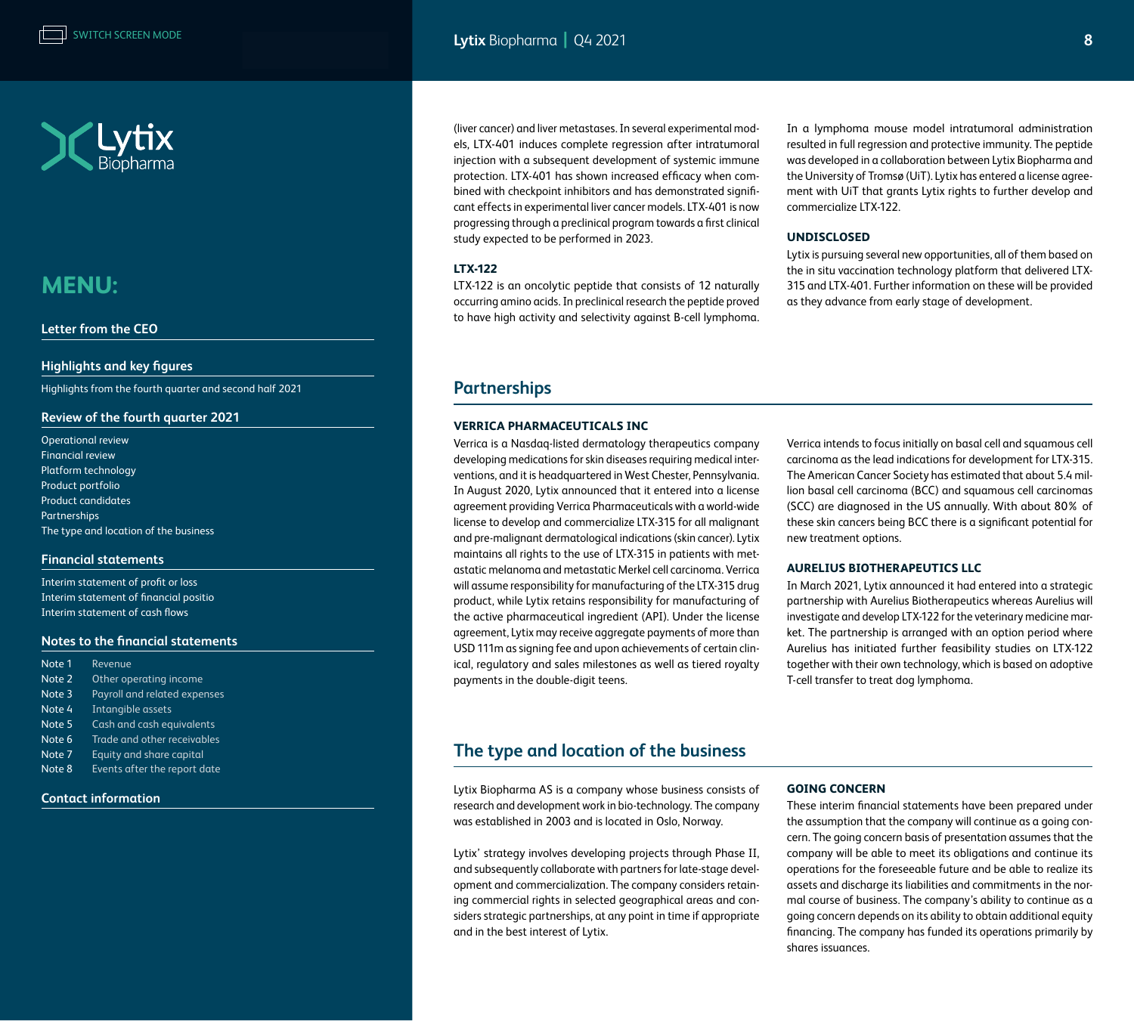<span id="page-7-0"></span>

#### **[Letter from the CEO](#page-1-0)**

#### **[Highlights and key figures](#page-2-0)**

[Highlights from the fourth quarter and second half 2021](#page-2-0) 

#### **[Review of the fourth quarter 2021](#page-3-0)**

[Operational review](#page-3-0)  [Financial review](#page-4-0) [Platform technology](#page-5-0) [Product portfolio](#page-5-0) [Product candidates](#page-6-0) Partnerships The type and location of the business

#### **[Financial statements](#page-10-0)**

[Interim statement of profit or loss](#page-10-0) [Interim statement of financial positio](#page-11-0) [Interim statement of cash flows](#page-12-0)

#### **[Notes to the financial statements](#page-13-0)**

| Note 1 | Revenue                      |
|--------|------------------------------|
| Note 2 | Other operating income       |
| Note 3 | Payroll and related expenses |
| Note 4 | Intangible assets            |
| Note 5 | Cash and cash equivalents    |
| Note 6 | Trade and other receivables  |
| Note 7 | Equity and share capital     |
| Note 8 | Events after the report date |

#### **[Contact information](#page-19-0)**

(liver cancer) and liver metastases. In several experimental models, LTX-401 induces complete regression after intratumoral injection with a subsequent development of systemic immune protection. LTX-401 has shown increased efficacy when combined with checkpoint inhibitors and has demonstrated significant effects in experimental liver cancer models. LTX-401 is now progressing through a preclinical program towards a first clinical study expected to be performed in 2023.

#### **LTX-122**

LTX-122 is an oncolytic peptide that consists of 12 naturally occurring amino acids. In preclinical research the peptide proved to have high activity and selectivity against B-cell lymphoma. In a lymphoma mouse model intratumoral administration resulted in full regression and protective immunity. The peptide was developed in a collaboration between Lytix Biopharma and the University of Tromsø (UiT). Lytix has entered a license agreement with UiT that grants Lytix rights to further develop and commercialize LTX-122.

#### **UNDISCLOSED**

Lytix is pursuing several new opportunities, all of them based on the in situ vaccination technology platform that delivered LTX-315 and LTX-401. Further information on these will be provided as they advance from early stage of development.

### **Partnerships**

#### **VERRICA PHARMACEUTICALS INC**

Verrica is a Nasdaq-listed dermatology therapeutics company developing medications for skin diseases requiring medical interventions, and it is headquartered in West Chester, Pennsylvania. In August 2020, Lytix announced that it entered into a license agreement providing Verrica Pharmaceuticals with a world-wide license to develop and commercialize LTX-315 for all malignant and pre-malignant dermatological indications (skin cancer). Lytix maintains all rights to the use of LTX-315 in patients with metastatic melanoma and metastatic Merkel cell carcinoma. Verrica will assume responsibility for manufacturing of the LTX-315 drug product, while Lytix retains responsibility for manufacturing of the active pharmaceutical ingredient (API). Under the license agreement, Lytix may receive aggregate payments of more than USD 111m as signing fee and upon achievements of certain clinical, regulatory and sales milestones as well as tiered royalty payments in the double-digit teens.

Verrica intends to focus initially on basal cell and squamous cell carcinoma as the lead indications for development for LTX-315. The American Cancer Society has estimated that about 5.4 million basal cell carcinoma (BCC) and squamous cell carcinomas (SCC) are diagnosed in the US annually. With about 80% of these skin cancers being BCC there is a significant potential for new treatment options.

#### **AURELIUS BIOTHERAPEUTICS LLC**

In March 2021, Lytix announced it had entered into a strategic partnership with Aurelius Biotherapeutics whereas Aurelius will investigate and develop LTX-122 for the veterinary medicine market. The partnership is arranged with an option period where Aurelius has initiated further feasibility studies on LTX-122 together with their own technology, which is based on adoptive T-cell transfer to treat dog lymphoma.

### **The type and location of the business**

Lytix Biopharma AS is a company whose business consists of research and development work in bio-technology. The company was established in 2003 and is located in Oslo, Norway.

Lytix' strategy involves developing projects through Phase II, and subsequently collaborate with partners for late-stage development and commercialization. The company considers retaining commercial rights in selected geographical areas and considers strategic partnerships, at any point in time if appropriate and in the best interest of Lytix.

#### **GOING CONCERN**

These interim financial statements have been prepared under the assumption that the company will continue as a going concern. The going concern basis of presentation assumes that the company will be able to meet its obligations and continue its operations for the foreseeable future and be able to realize its assets and discharge its liabilities and commitments in the normal course of business. The company's ability to continue as a going concern depends on its ability to obtain additional equity financing. The company has funded its operations primarily by shares issuances.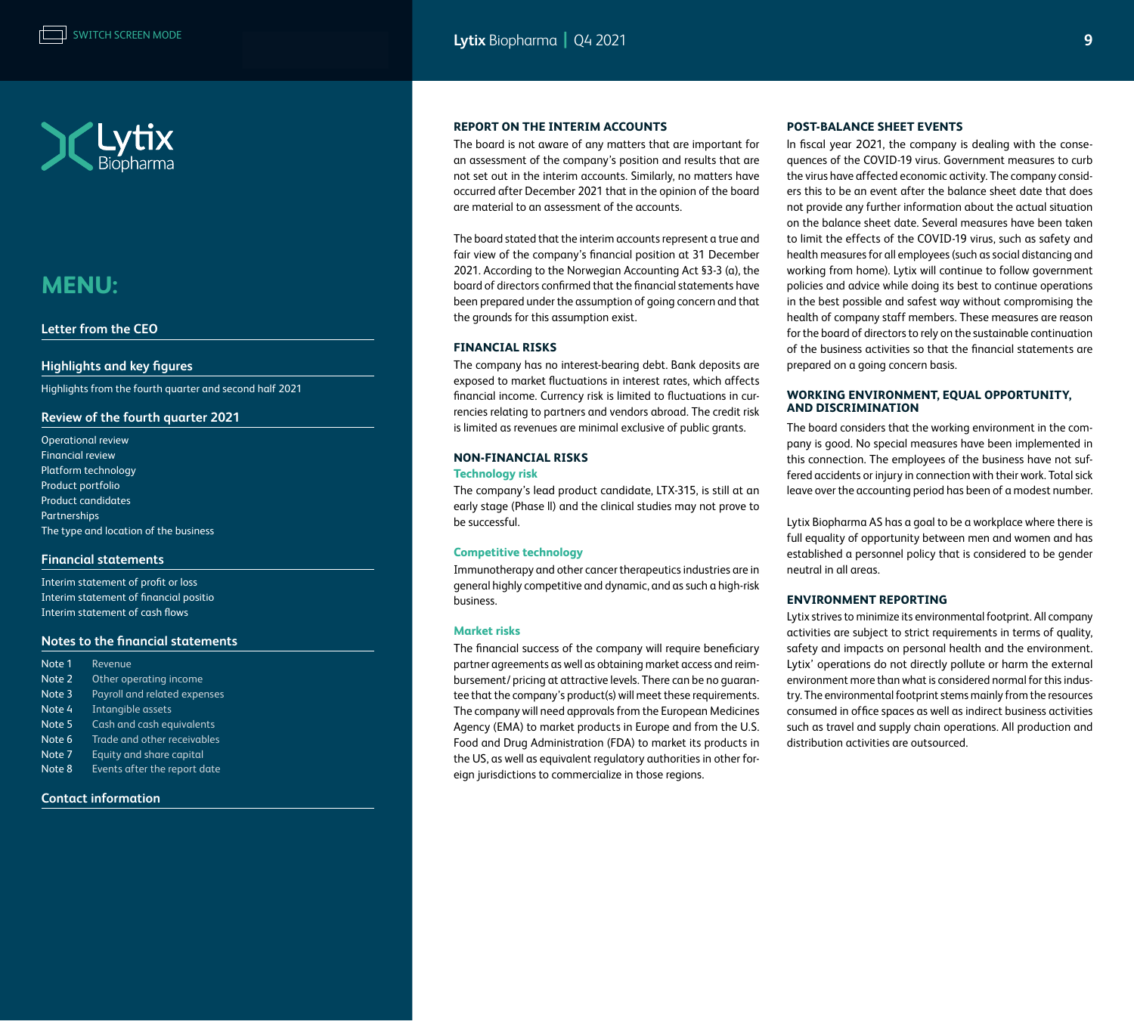



#### **[Letter from the CEO](#page-1-0)**

#### **[Highlights and key figures](#page-2-0)**

[Highlights from the fourth quarter and second half 2021](#page-2-0) 

#### **[Review of the fourth quarter 2021](#page-3-0)**

[Operational review](#page-3-0)  [Financial review](#page-4-0) [Platform technology](#page-5-0) [Product portfolio](#page-5-0) [Product candidates](#page-6-0) [Partnerships](#page-7-0) [The type and location of the business](#page-7-0)

#### **[Financial statements](#page-10-0)**

[Interim statement of profit or loss](#page-10-0) [Interim statement of financial positio](#page-11-0) [Interim statement of cash flows](#page-12-0)

#### **[Notes to the financial statements](#page-13-0)**

| Note 1 | Revenue                      |
|--------|------------------------------|
| Note 2 | Other operating income       |
| Note 3 | Payroll and related expenses |
| Note 4 | Intangible assets            |
| Note 5 | Cash and cash equivalents    |
| Note 6 | Trade and other receivables  |
| Note 7 | Equity and share capital     |
| Note 8 | Events after the report date |

#### **[Contact information](#page-19-0)**

#### **REPORT ON THE INTERIM ACCOUNTS**

The board is not aware of any matters that are important for an assessment of the company's position and results that are not set out in the interim accounts. Similarly, no matters have occurred after December 2021 that in the opinion of the board are material to an assessment of the accounts.

The board stated that the interim accounts represent a true and fair view of the company's financial position at 31 December 2021. According to the Norwegian Accounting Act §3-3 (a), the board of directors confirmed that the financial statements have been prepared under the assumption of going concern and that the grounds for this assumption exist.

#### **FINANCIAL RISKS**

The company has no interest-bearing debt. Bank deposits are exposed to market fluctuations in interest rates, which affects financial income. Currency risk is limited to fluctuations in currencies relating to partners and vendors abroad. The credit risk is limited as revenues are minimal exclusive of public grants.

#### **NON-FINANCIAL RISKS**

#### **Technology risk**

The company's lead product candidate, LTX-315, is still at an early stage (Phase ll) and the clinical studies may not prove to be successful.

#### **Competitive technology**

Immunotherapy and other cancer therapeutics industries are in general highly competitive and dynamic, and as such a high-risk business.

#### **Market risks**

The financial success of the company will require beneficiary partner agreements as well as obtaining market access and reimbursement/ pricing at attractive levels. There can be no guarantee that the company's product(s) will meet these requirements. The company will need approvals from the European Medicines Agency (EMA) to market products in Europe and from the U.S. Food and Drug Administration (FDA) to market its products in the US, as well as equivalent regulatory authorities in other foreign jurisdictions to commercialize in those regions.

#### **POST-BALANCE SHEET EVENTS**

ln fiscal year 2O21, the company is dealing with the consequences of the COVID-19 virus. Government measures to curb the virus have affected economic activity. The company considers this to be an event after the balance sheet date that does not provide any further information about the actual situation on the balance sheet date. Several measures have been taken to limit the effects of the COVID-19 virus, such as safety and health measures for all employees (such as social distancing and working from home). Lytix will continue to follow government policies and advice while doing its best to continue operations in the best possible and safest way without compromising the health of company staff members. These measures are reason for the board of directors to rely on the sustainable continuation of the business activities so that the financial statements are prepared on a going concern basis.

#### **WORKING ENVIRONMENT, EQUAL OPPORTUNITY, AND DISCRIMINATION**

The board considers that the working environment in the company is good. No special measures have been implemented in this connection. The employees of the business have not suffered accidents or injury in connection with their work. Total sick leave over the accounting period has been of a modest number.

Lytix Biopharma AS has a goal to be a workplace where there is full equality of opportunity between men and women and has established a personnel policy that is considered to be gender neutral in all areas.

#### **ENVIRONMENT REPORTING**

Lytix strives to minimize its environmental footprint. All company activities are subject to strict requirements in terms of quality, safety and impacts on personal health and the environment. Lytix' operations do not directly pollute or harm the external environment more than what is considered normal for this industry. The environmental footprint stems mainly from the resources consumed in office spaces as well as indirect business activities such as travel and supply chain operations. All production and distribution activities are outsourced.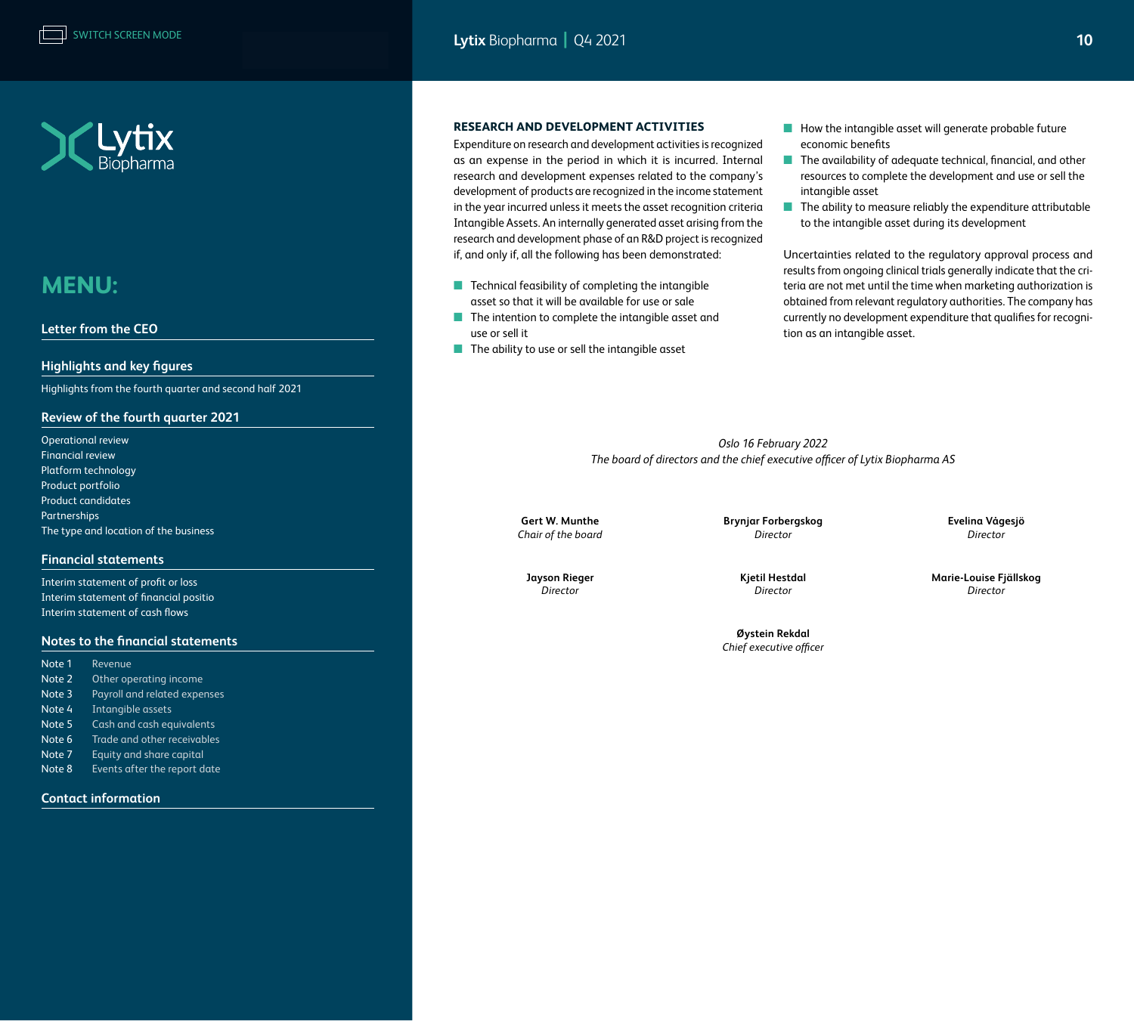



#### **[Letter from the CEO](#page-1-0)**

#### **[Highlights and key figures](#page-2-0)**

[Highlights from the fourth quarter and second half 2021](#page-2-0) 

#### **[Review of the fourth quarter 2021](#page-3-0)**

| <b>Operational review</b>             |
|---------------------------------------|
| <b>Financial review</b>               |
| Platform technology                   |
| Product portfolio                     |
| <b>Product candidates</b>             |
| Partnerships                          |
| The type and location of the business |

#### **[Financial statements](#page-10-0)**

[Interim statement of profit or loss](#page-10-0) [Interim statement of financial positio](#page-11-0) [Interim statement of cash flows](#page-12-0)

#### **[Notes to the financial statements](#page-13-0)**

| Note 1 | Revenue                      |
|--------|------------------------------|
| Note 2 | Other operating income       |
| Note 3 | Payroll and related expenses |
| Note 4 | Intangible assets            |
| Note 5 | Cash and cash equivalents    |
| Note 6 | Trade and other receivables  |
| Note 7 | Equity and share capital     |
| Note 8 | Events after the report date |
|        |                              |

#### **[Contact information](#page-19-0)**

#### **RESEARCH AND DEVELOPMENT ACTIVITIES**

Expenditure on research and development activities is recognized as an expense in the period in which it is incurred. Internal research and development expenses related to the company's development of products are recognized in the income statement in the year incurred unless it meets the asset recognition criteria Intangible Assets. An internally generated asset arising from the research and development phase of an R&D project is recognized if, and only if, all the following has been demonstrated:

- Technical feasibility of completing the intangible asset so that it will be available for use or sale
- The intention to complete the intangible asset and use or sell it
- The ability to use or sell the intangible asset
- How the intangible asset will generate probable future economic benefits
- The availability of adequate technical, financial, and other resources to complete the development and use or sell the intangible asset
- The ability to measure reliably the expenditure attributable to the intangible asset during its development

Uncertainties related to the regulatory approval process and results from ongoing clinical trials generally indicate that the criteria are not met until the time when marketing authorization is obtained from relevant regulatory authorities. The company has currently no development expenditure that qualifies for recognition as an intangible asset.

*Oslo 16 February 2022 The board of directors and the chief executive officer of Lytix Biopharma AS*

**Gert W. Munthe Brynjar Forbergskog Evelina Vågesjö** *Chair of the board Director Director*

**Jayson Rieger Kjetil Hestdal Marie-Louise Fjällskog**

**Øystein Rekdal** *Chief executive officer*

*Director Director Director*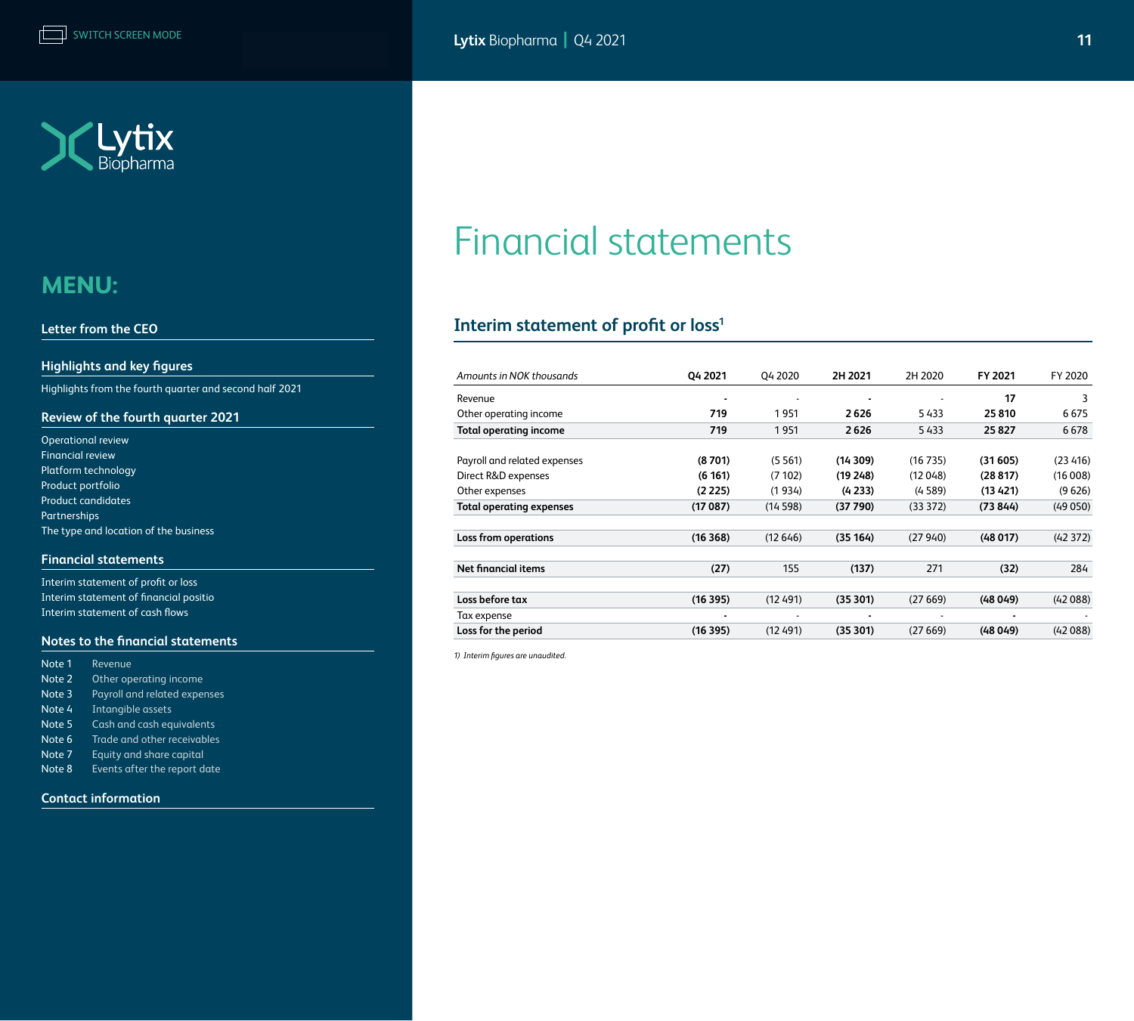<span id="page-10-0"></span>

#### **[Letter from the CEO](#page-1-0)**

#### **[Highlights and key figures](#page-2-0)**

[Highlights from the fourth quarter and second half 2021](#page-2-0) 

### **[Review of the fourth quarter 2021](#page-3-0)**

| <b>Operational review</b>             |
|---------------------------------------|
| <b>Financial review</b>               |
| Platform technology                   |
| Product portfolio                     |
| <b>Product candidates</b>             |
| <b>Partnerships</b>                   |
| The type and location of the business |

#### **Financial statements**

Interim statement of profit or loss [Interim statement of financial positio](#page-11-0) [Interim statement of cash flows](#page-12-0)

#### **[Notes to the financial statements](#page-13-0)**

| Note 1 | Revenue                      |
|--------|------------------------------|
| Note 2 | Other operating income       |
| Note 3 | Payroll and related expenses |
| Note 4 | Intangible assets            |
| Note 5 | Cash and cash equivalents    |
| Note 6 | Trade and other receivables  |
| Note 7 | Equity and share capital     |
| Note 8 | Events after the report date |
|        |                              |

**[Contact information](#page-19-0)**

# Financial statements

### **Interim statement of profit or loss1**

| Amounts in NOK thousands      | Q4 2021 | Q4 2020 | 2H 2021    | 2H 2020 | FY 2021  | FY 2020  |
|-------------------------------|---------|---------|------------|---------|----------|----------|
| Revenue                       |         |         |            |         | 17       | 3        |
| Other operating income        | 719     | 1951    | 2626       | 5433    | 25810    | 6675     |
| <b>Total operating income</b> | 719     | 1951    | 2626       | 5433    | 25827    | 6678     |
|                               |         |         |            |         |          |          |
| Payroll and related expenses  | (8701)  | (5561)  | (14309)    | (16735) | (31 605) | (23 416) |
| Direct R&D expenses           | (6161)  | (7102)  | (19248)    | (12048) | (28817)  | (16008)  |
| Other expenses                | (2225)  | (1934)  | (4 2 3 3 ) | (4589)  | (13421)  | (9626)   |
| Total operating expenses      | (17087) | (14598) | (37790)    | (33372) | (73844)  | (49050)  |
| Loss from operations          | (16368) | (12646) | (35 164)   | (27940) | (48017)  | (42372)  |
|                               |         |         |            |         |          |          |
| <b>Net financial items</b>    | (27)    | 155     | (137)      | 271     | (32)     | 284      |
|                               |         |         |            |         |          |          |
| Loss before tax               | (16395) | (12491) | (35301)    | (27669) | (48049)  | (42088)  |
| Tax expense                   |         |         |            |         | ٠        |          |
| Loss for the period           | (16395) | (12491) | (35301)    | (27669) | (48049)  | (42088)  |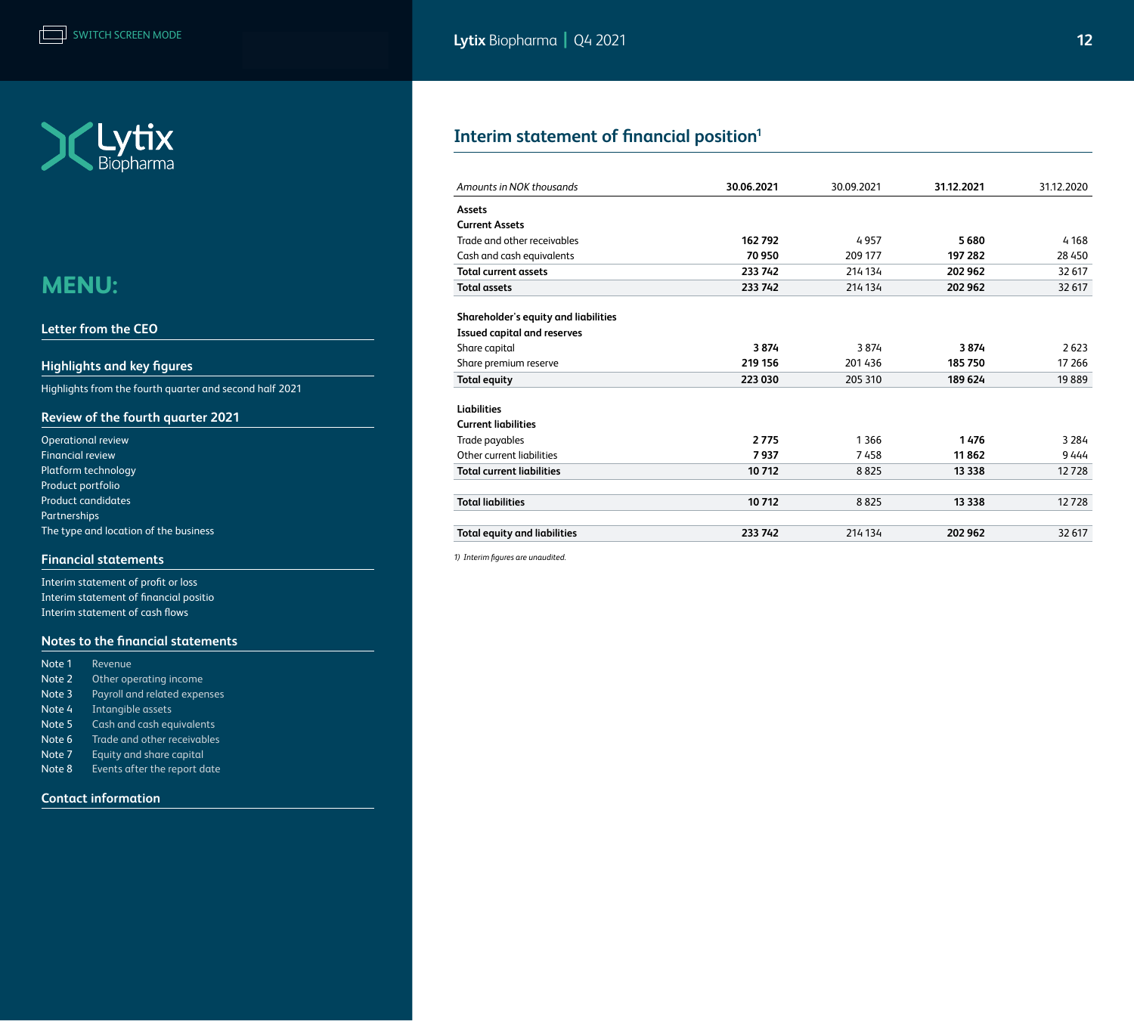<span id="page-11-0"></span>

#### **[Letter from the CEO](#page-1-0)**

### **[Highlights and key figures](#page-2-0)**

[Highlights from the fourth quarter and second half 2021](#page-2-0) 

### **[Review of the fourth quarter 2021](#page-3-0)**

| <b>Operational review</b>             |
|---------------------------------------|
| <b>Financial review</b>               |
| Platform technology                   |
| Product portfolio                     |
| <b>Product candidates</b>             |
| Partnerships                          |
| The type and location of the business |

#### **[Financial statements](#page-10-0)**

[Interim statement of profit or loss](#page-10-0) Interim statement of financial positio [Interim statement of cash flows](#page-12-0)

#### **[Notes to the financial statements](#page-13-0)**

| Revenue                      |
|------------------------------|
| Other operating income       |
| Payroll and related expenses |
| Intangible assets            |
| Cash and cash equivalents    |
| Trade and other receivables  |
| Equity and share capital     |
| Events after the report date |
|                              |

### **[Contact information](#page-19-0)**

### **Interim statement of financial position1**

| Amounts in NOK thousands             | 30.06.2021 | 30.09.2021 | 31.12.2021 | 31.12.2020 |
|--------------------------------------|------------|------------|------------|------------|
| Assets                               |            |            |            |            |
| <b>Current Assets</b>                |            |            |            |            |
| Trade and other receivables          | 162792     | 4957       | 5680       | 4 1 6 8    |
| Cash and cash equivalents            | 70950      | 209 177    | 197 282    | 28 4 50    |
| <b>Total current assets</b>          | 233 742    | 214 134    | 202 962    | 32 617     |
| <b>Total assets</b>                  | 233 742    | 214 134    | 202 962    | 32 617     |
| Shareholder's equity and liabilities |            |            |            |            |
| <b>Issued capital and reserves</b>   |            |            |            |            |
| Share capital                        | 3874       | 3874       | 3874       | 2623       |
| Share premium reserve                | 219 156    | 201436     | 185750     | 17 26 6    |
| <b>Total equity</b>                  | 223 030    | 205 310    | 189 624    | 19889      |
| Liabilities                          |            |            |            |            |
| <b>Current liabilities</b>           |            |            |            |            |
| Trade payables                       | 2775       | 1 3 6 6    | 1476       | 3 2 8 4    |
| Other current liabilities            | 7937       | 7458       | 11862      | 9444       |
| <b>Total current liabilities</b>     | 10712      | 8825       | 13 3 38    | 12728      |
| <b>Total liabilities</b>             | 10712      | 8825       | 13 3 38    | 12728      |
| <b>Total equity and liabilities</b>  | 233 742    | 214 134    | 202 962    | 32 617     |
|                                      |            |            |            |            |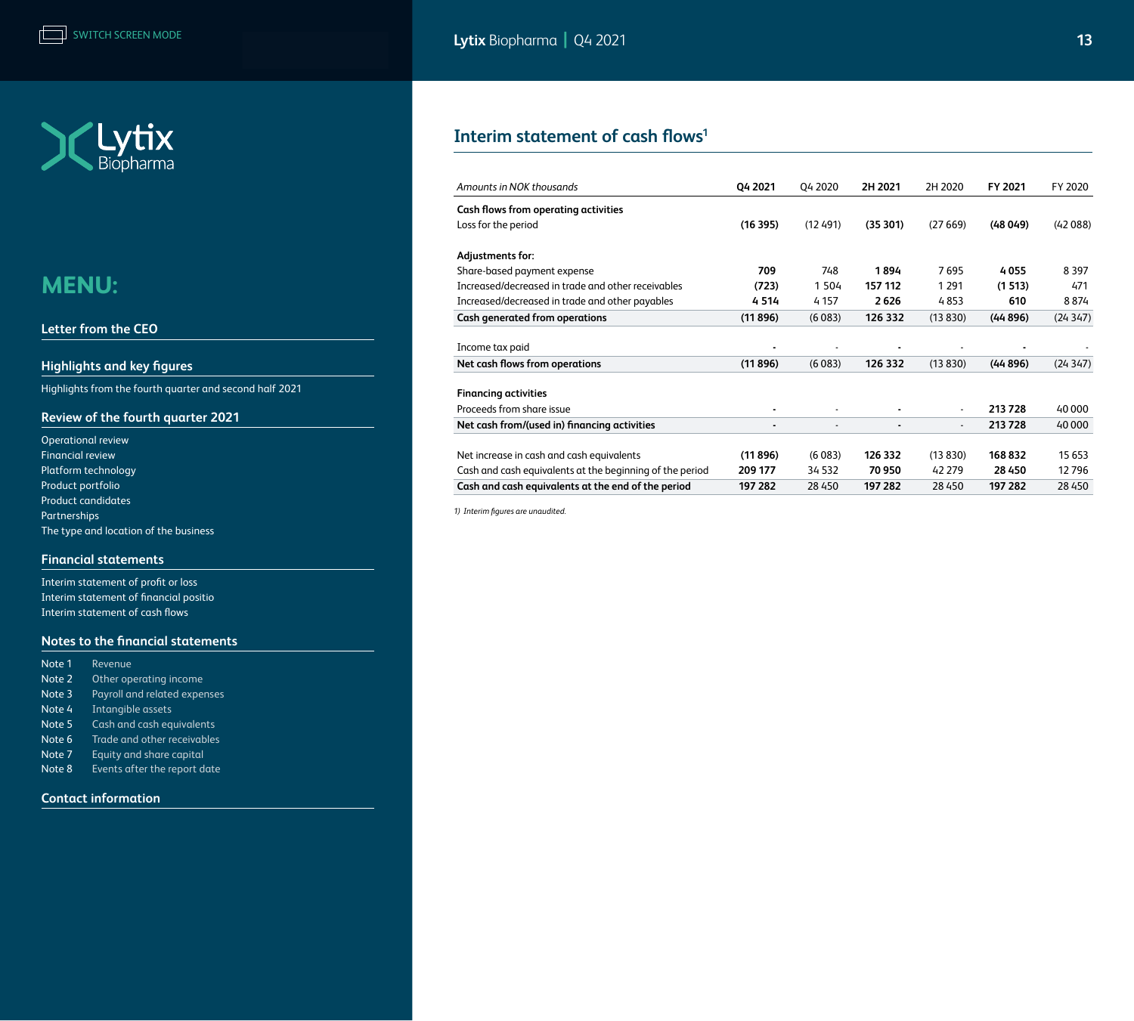<span id="page-12-0"></span>

#### **[Letter from the CEO](#page-1-0)**

### **[Highlights and key figures](#page-2-0)**

[Highlights from the fourth quarter and second half 2021](#page-2-0) 

### **[Review of the fourth quarter 2021](#page-3-0)**

| <b>Operational review</b>             |
|---------------------------------------|
| <b>Financial review</b>               |
| Platform technology                   |
| Product portfolio                     |
| <b>Product candidates</b>             |
| Partnerships                          |
| The type and location of the business |

#### **[Financial statements](#page-10-0)**

[Interim statement of profit or loss](#page-10-0) [Interim statement of financial positio](#page-11-0) Interim statement of cash flows

#### **[Notes to the financial statements](#page-13-0)**

| Note 1 | Revenue                      |
|--------|------------------------------|
| Note 2 | Other operating income       |
| Note 3 | Payroll and related expenses |
| Note 4 | Intangible assets            |
| Note 5 | Cash and cash equivalents    |
| Note 6 | Trade and other receivables  |
| Note 7 | Equity and share capital     |
| Note 8 | Events after the report date |
|        |                              |

#### **[Contact information](#page-19-0)**

### **Interim statement of cash flows1**

| Amounts in NOK thousands                                 | Q4 2021        | Q4 2020 | 2H 2021 | 2H 2020        | FY 2021  | FY 2020 |
|----------------------------------------------------------|----------------|---------|---------|----------------|----------|---------|
| Cash flows from operating activities                     |                |         |         |                |          |         |
| Loss for the period                                      | (16395)        | (12491) | (35301) | (27669)        | (48049)  | (42088) |
| Adjustments for:                                         |                |         |         |                |          |         |
| Share-based payment expense                              | 709            | 748     | 1894    | 7695           | 4055     | 8 3 9 7 |
| Increased/decreased in trade and other receivables       | (723)          | 1 5 0 4 | 157 112 | 1 2 9 1        | (1513)   | 471     |
| Increased/decreased in trade and other payables          | 4514           | 4 1 5 7 | 2626    | 4853           | 610      | 8874    |
| Cash generated from operations                           | (11896)        | (6083)  | 126 332 | (13 830)       | (44896)  | (24347) |
| Income tax paid                                          |                |         |         |                |          |         |
| Net cash flows from operations                           | (11896)        | (6083)  | 126 332 | (13 830)       | (44 896) | (24347) |
| <b>Financing activities</b>                              |                |         |         |                |          |         |
| Proceeds from share issue                                | $\blacksquare$ |         |         | $\blacksquare$ | 213728   | 40 000  |
| Net cash from/(used in) financing activities             | ۰              |         |         | $\blacksquare$ | 213728   | 40 000  |
| Net increase in cash and cash equivalents                | (11896)        | (6083)  | 126 332 | (13830)        | 168832   | 15 6 53 |
| Cash and cash equivalents at the beginning of the period | 209 177        | 34 532  | 70 950  | 42 279         | 28 4 50  | 12796   |
| Cash and cash equivalents at the end of the period       | 197 282        | 28 450  | 197 282 | 28 4 50        | 197 282  | 28 4 50 |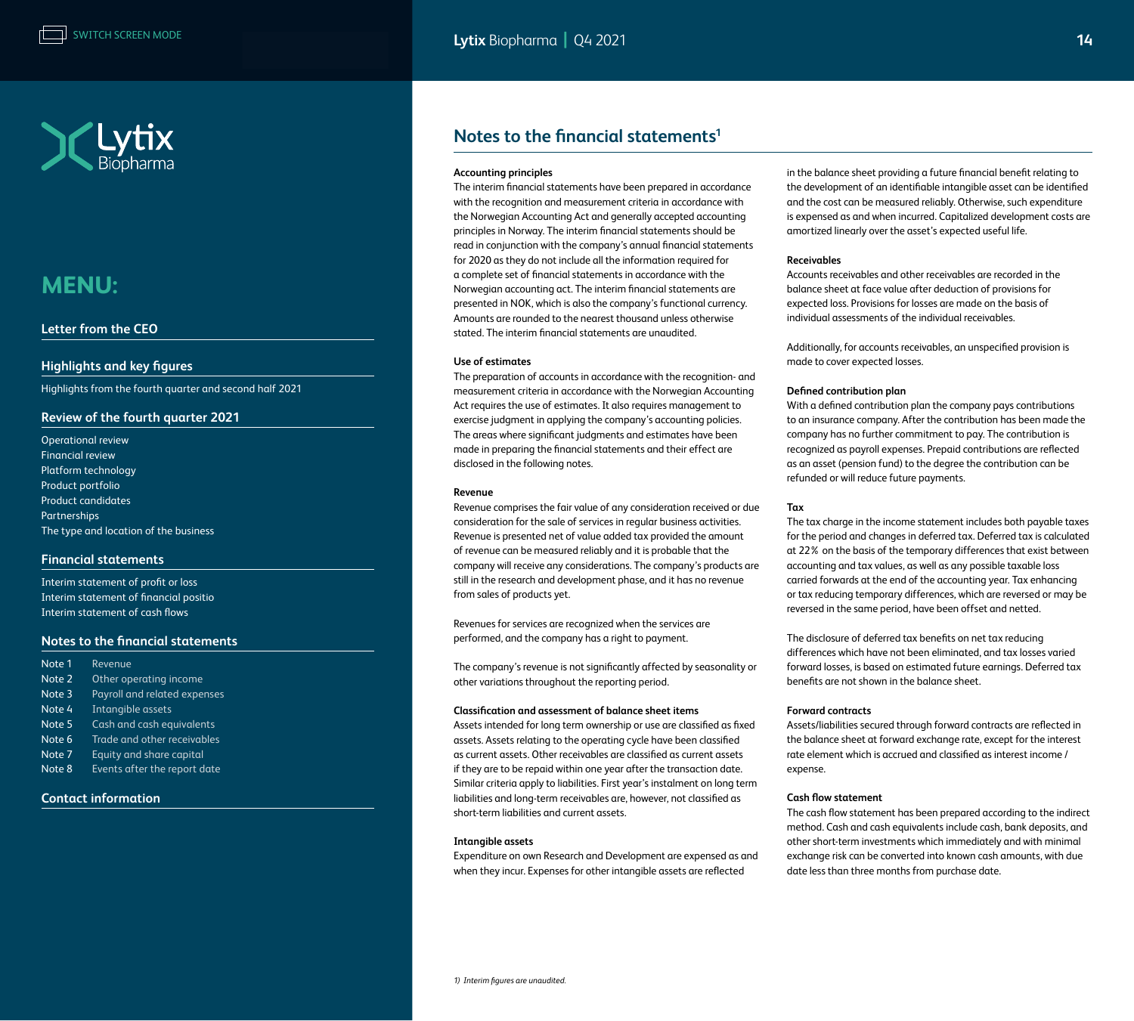<span id="page-13-0"></span>

#### **[Letter from the CEO](#page-1-0)**

#### **[Highlights and key figures](#page-2-0)**

[Highlights from the fourth quarter and second half 2021](#page-2-0) 

#### **[Review of the fourth quarter 2021](#page-3-0)**

[Operational review](#page-3-0)  [Financial review](#page-4-0) [Platform technology](#page-5-0) [Product portfolio](#page-5-0) [Product candidates](#page-6-0) [Partnerships](#page-7-0) [The type and location of the business](#page-7-0)

#### **[Financial statements](#page-10-0)**

[Interim statement of profit or loss](#page-10-0) [Interim statement of financial positio](#page-11-0) [Interim statement of cash flows](#page-12-0)

#### **Notes to the financial statements**

| Note 1 | Revenue                      |
|--------|------------------------------|
| Note 2 | Other operating income       |
| Note 3 | Payroll and related expenses |
| Note 4 | Intangible assets            |
| Note 5 | Cash and cash equivalents    |
| Note 6 | Trade and other receivables  |
| Note 7 | Equity and share capital     |
| Note 8 | Events after the report date |
|        |                              |

#### **[Contact information](#page-19-0)**

### **Notes to the financial statements1**

#### **Accounting principles**

The interim financial statements have been prepared in accordance with the recognition and measurement criteria in accordance with the Norwegian Accounting Act and generally accepted accounting principles in Norway. The interim financial statements should be read in conjunction with the company's annual financial statements for 2020 as they do not include all the information required for a complete set of financial statements in accordance with the Norwegian accounting act. The interim financial statements are presented in NOK, which is also the company's functional currency. Amounts are rounded to the nearest thousand unless otherwise stated. The interim financial statements are unaudited.

#### **Use of estimates**

The preparation of accounts in accordance with the recognition- and measurement criteria in accordance with the Norwegian Accounting Act requires the use of estimates. It also requires management to exercise judgment in applying the company's accounting policies. The areas where significant judgments and estimates have been made in preparing the financial statements and their effect are disclosed in the following notes.

#### **Revenue**

Revenue comprises the fair value of any consideration received or due consideration for the sale of services in regular business activities. Revenue is presented net of value added tax provided the amount of revenue can be measured reliably and it is probable that the company will receive any considerations. The company's products are still in the research and development phase, and it has no revenue from sales of products yet.

Revenues for services are recognized when the services are performed, and the company has a right to payment.

The company's revenue is not significantly affected by seasonality or other variations throughout the reporting period.

#### **Classification and assessment of balance sheet items**

Assets intended for long term ownership or use are classified as fixed assets. Assets relating to the operating cycle have been classified as current assets. Other receivables are classified as current assets if they are to be repaid within one year after the transaction date. Similar criteria apply to liabilities. First year's instalment on long term liabilities and long-term receivables are, however, not classified as short-term liabilities and current assets.

#### **Intangible assets**

Expenditure on own Research and Development are expensed as and when they incur. Expenses for other intangible assets are reflected

in the balance sheet providing a future financial benefit relating to the development of an identifiable intangible asset can be identified and the cost can be measured reliably. Otherwise, such expenditure is expensed as and when incurred. Capitalized development costs are amortized linearly over the asset's expected useful life.

#### **Receivables**

Accounts receivables and other receivables are recorded in the balance sheet at face value after deduction of provisions for expected loss. Provisions for losses are made on the basis of individual assessments of the individual receivables.

Additionally, for accounts receivables, an unspecified provision is made to cover expected losses.

#### **Defined contribution plan**

With a defined contribution plan the company pays contributions to an insurance company. After the contribution has been made the company has no further commitment to pay. The contribution is recognized as payroll expenses. Prepaid contributions are reflected as an asset (pension fund) to the degree the contribution can be refunded or will reduce future payments.

#### **Tax**

The tax charge in the income statement includes both payable taxes for the period and changes in deferred tax. Deferred tax is calculated at 22% on the basis of the temporary differences that exist between accounting and tax values, as well as any possible taxable loss carried forwards at the end of the accounting year. Tax enhancing or tax reducing temporary differences, which are reversed or may be reversed in the same period, have been offset and netted.

The disclosure of deferred tax benefits on net tax reducing differences which have not been eliminated, and tax losses varied forward losses, is based on estimated future earnings. Deferred tax benefits are not shown in the balance sheet.

#### **Forward contracts**

Assets/liabilities secured through forward contracts are reflected in the balance sheet at forward exchange rate, except for the interest rate element which is accrued and classified as interest income / expense.

#### **Cash flow statement**

The cash flow statement has been prepared according to the indirect method. Cash and cash equivalents include cash, bank deposits, and other short-term investments which immediately and with minimal exchange risk can be converted into known cash amounts, with due date less than three months from purchase date.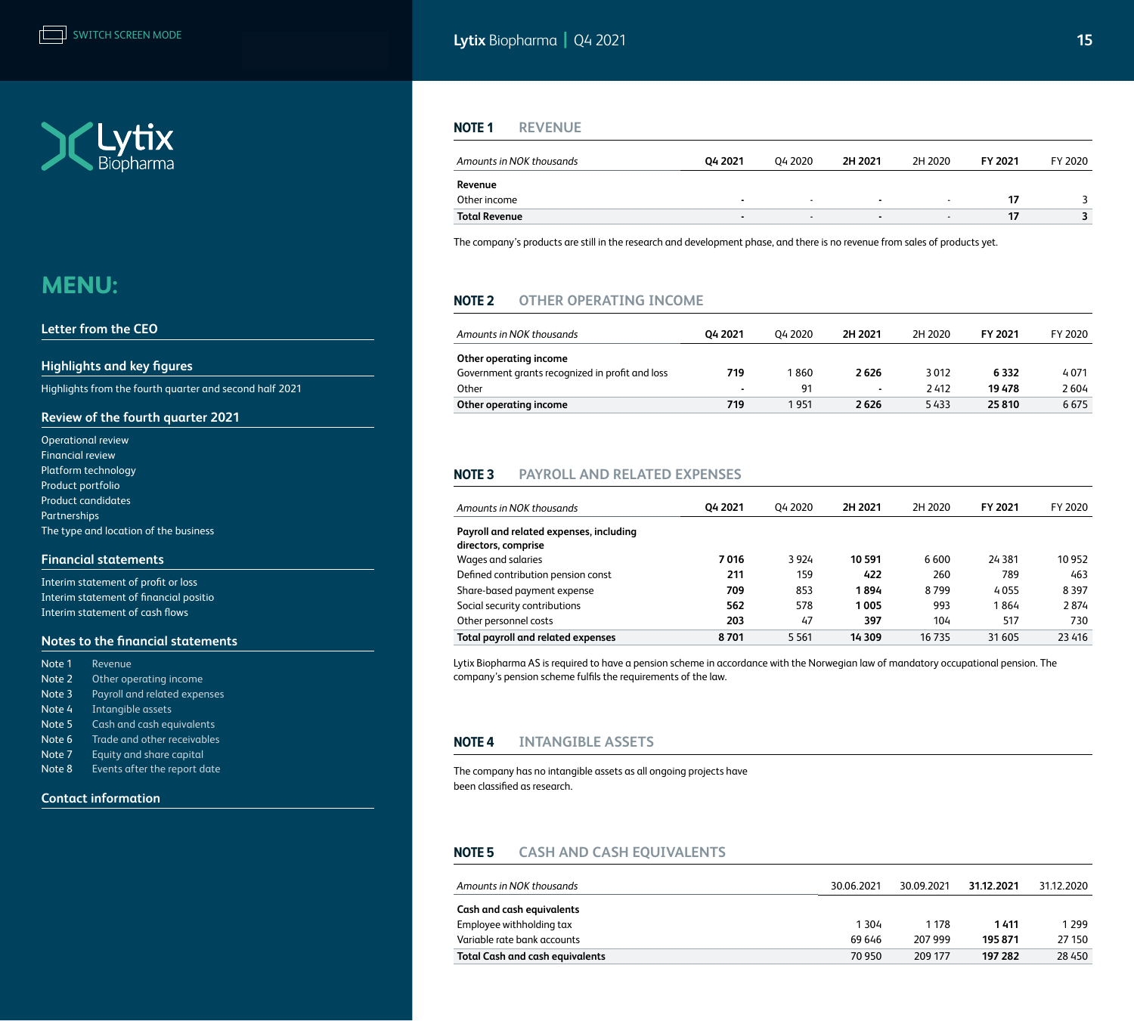

#### **[Letter from the CEO](#page-1-0)**

#### **[Highlights and key figures](#page-2-0)**

[Highlights from the fourth quarter and second half 2021](#page-2-0) 

#### **[Review of the fourth quarter 2021](#page-3-0)**

| <b>Operational review</b>             |
|---------------------------------------|
| <b>Financial review</b>               |
| Platform technology                   |
| Product portfolio                     |
| Product candidates                    |
| Partnerships                          |
| The type and location of the business |

#### **[Financial statements](#page-10-0)**

[Interim statement of profit or loss](#page-10-0) [Interim statement of financial positio](#page-11-0) [Interim statement of cash flows](#page-12-0)

#### **[Notes to the financial statements](#page-13-0)**

| Revenue                      |
|------------------------------|
| Other operating income       |
| Payroll and related expenses |
| Intangible assets            |
| Cash and cash equivalents    |
| Trade and other receivables  |
| Equity and share capital     |
| Events after the report date |
|                              |

#### **[Contact information](#page-19-0)**

<span id="page-14-0"></span>**Lytix** Biopharma **|** Q4 2021 **15 15 15 15 15** 

#### **Note 1 REVENUE**

| Amounts in NOK thousands | 04 2021                  | 04 2020                  | 2H 2021        | 2H 2020                  | <b>FY 2021</b> | FY 2020 |
|--------------------------|--------------------------|--------------------------|----------------|--------------------------|----------------|---------|
| Revenue<br>Other income  |                          |                          |                |                          |                |         |
|                          | $\overline{\phantom{a}}$ | $\overline{\phantom{0}}$ | $\blacksquare$ | $\overline{\phantom{a}}$ |                |         |
| <b>Total Revenue</b>     | $\blacksquare$           | $\overline{\phantom{0}}$ | $\blacksquare$ | $\overline{\phantom{a}}$ |                |         |

The company's products are still in the research and development phase, and there is no revenue from sales of products yet.

### **Note 2 OTHER OPERATING INCOME**

| Amounts in NOK thousands                        | 04 2021      | 04 2020 | 2H 2021 | 2H 2020 | FY 2021 | FY 2020 |
|-------------------------------------------------|--------------|---------|---------|---------|---------|---------|
| Other operating income                          |              |         |         |         |         |         |
| Government grants recognized in profit and loss | 719          | 1860    | 2626    | 3012    | 6 3 3 2 | 4071    |
| Other                                           | $\mathbf{r}$ | 91      | $\sim$  | 2412    | 19478   | 2604    |
| Other operating income                          | 719          | 1951    | 2626    | 5433    | 25810   | 6675    |

### **Note 3 PAYROLL AND RELATED EXPENSES**

| Amounts in NOK thousands                  | 04 2021 | 04 2020 | 2H 2021 | 2H 2020 | FY 2021  | FY 2020 |
|-------------------------------------------|---------|---------|---------|---------|----------|---------|
| Payroll and related expenses, including   |         |         |         |         |          |         |
| directors, comprise<br>Wages and salaries | 7016    | 3924    | 10 591  | 6600    | 24 3 8 1 | 10 952  |
| Defined contribution pension const        | 211     | 159     | 422     | 260     | 789      | 463     |
| Share-based payment expense               | 709     | 853     | 1894    | 8799    | 4055     | 8 3 9 7 |
| Social security contributions             | 562     | 578     | 1005    | 993     | 1864     | 2874    |
| Other personnel costs                     | 203     | 47      | 397     | 104     | 517      | 730     |
| <b>Total payroll and related expenses</b> | 8701    | 5 5 6 1 | 14 309  | 16 735  | 31 605   | 23 4 16 |

Lytix Biopharma AS is required to have a pension scheme in accordance with the Norwegian law of mandatory occupational pension. The company's pension scheme fulfils the requirements of the law.

#### **Note 4 INTANGIBLE ASSETS**

The company has no intangible assets as all ongoing projects have been classified as research.

#### **Note 5 CASH AND CASH EQUIVALENTS**

| Amounts in NOK thousands               | 30.06.2021 | 30.09.2021 | 31.12.2021 | 31.12.2020 |
|----------------------------------------|------------|------------|------------|------------|
| Cash and cash equivalents              |            |            |            |            |
| Employee withholding tax               | 1 3 0 4    | 1 178      | 1411       | 1 2 9 9    |
| Variable rate bank accounts            | 69 646     | 207 999    | 195871     | 27 150     |
| <b>Total Cash and cash equivalents</b> | 70 950     | 209 177    | 197 282    | 28 450     |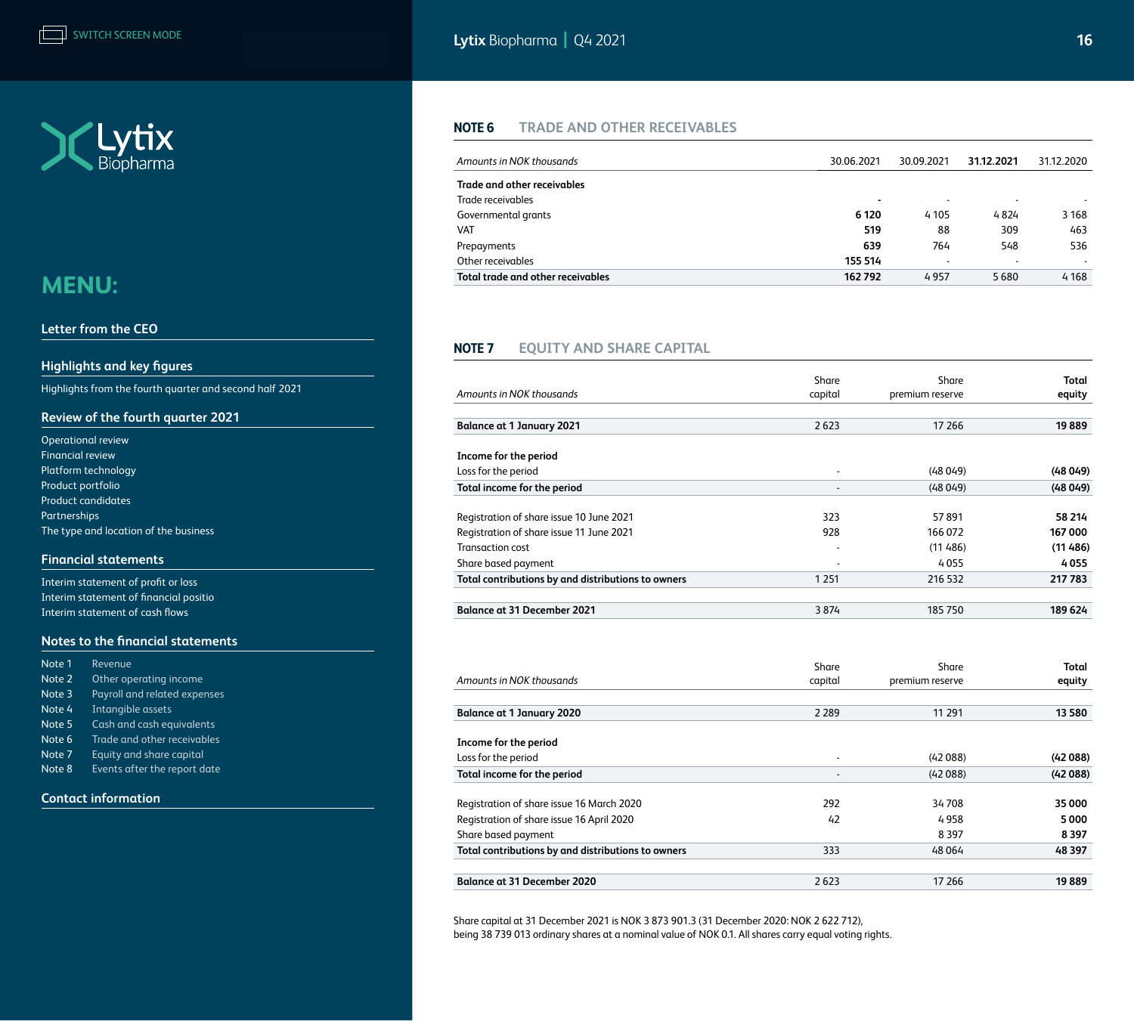<span id="page-15-0"></span>

#### **[Letter from the CEO](#page-1-0)**

#### **[Highlights and key figures](#page-2-0)**

[Highlights from the fourth quarter and second half 2021](#page-2-0) 

#### **[Review of the fourth quarter 2021](#page-3-0)**

| <b>Operational review</b>             |
|---------------------------------------|
| <b>Financial review</b>               |
| Platform technology                   |
| Product portfolio                     |
| <b>Product candidates</b>             |
| Partnerships                          |
| The type and location of the business |

#### **[Financial statements](#page-10-0)**

[Interim statement of profit or loss](#page-10-0) [Interim statement of financial positio](#page-11-0) [Interim statement of cash flows](#page-12-0)

#### **[Notes to the financial statements](#page-13-0)**

| Note 1 | Revenue                      |
|--------|------------------------------|
| Note 2 | Other operating income       |
| Note 3 | Payroll and related expenses |
| Note 4 | Intangible assets            |
| Note 5 | Cash and cash equivalents    |
| Note 6 | Trade and other receivables  |
| Note 7 | Equity and share capital     |
| Note 8 | Events after the report date |

#### **[Contact information](#page-19-0)**

### **Note 6 TRADE AND OTHER RECEIVABLES**

| Amounts in NOK thousands          | 30.06.2021 | 30.09.2021               | 31.12.2021               | 31.12.2020     |
|-----------------------------------|------------|--------------------------|--------------------------|----------------|
| Trade and other receivables       |            |                          |                          |                |
| Trade receivables                 |            | $\overline{\phantom{a}}$ | $\overline{\phantom{0}}$ |                |
| Governmental grants               | 6 1 2 0    | 4 1 0 5                  | 4824                     | 3 1 6 8        |
| <b>VAT</b>                        | 519        | 88                       | 309                      | 463            |
| Prepayments                       | 639        | 764                      | 548                      | 536            |
| Other receivables                 | 155 514    | $\overline{\phantom{a}}$ | $\blacksquare$           | $\blacksquare$ |
| Total trade and other receivables | 162 792    | 4957                     | 5680                     | 4 1 6 8        |

#### **Note 7 EQUITY AND SHARE CAPITAL**

|                                                    | Share          | Share           | <b>Total</b> |
|----------------------------------------------------|----------------|-----------------|--------------|
| Amounts in NOK thousands                           | capital        | premium reserve | equity       |
| <b>Balance at 1 January 2021</b>                   | 2623           | 17 26 6         | 19889        |
|                                                    |                |                 |              |
| Income for the period                              |                |                 |              |
| Loss for the period                                | $\blacksquare$ | (48049)         | (48049)      |
| Total income for the period                        |                | (48049)         | (48049)      |
| Registration of share issue 10 June 2021           | 323            | 57891           | 58 214       |
| Registration of share issue 11 June 2021           | 928            | 166072          | 167 000      |
| <b>Transaction cost</b>                            |                | (11486)         | (11486)      |
| Share based payment                                |                | 4055            | 4055         |
| Total contributions by and distributions to owners | 1 2 5 1        | 216 532         | 217 783      |
| <b>Balance at 31 December 2021</b>                 | 3874           | 185750          | 189 624      |
| Amounts in NOK thousands                           | Share          | Share           | <b>Total</b> |
|                                                    | capital        | premium reserve | equity       |
| <b>Balance at 1 January 2020</b>                   | 2 2 8 9        | 11 291          | 13 580       |
| Income for the period                              |                |                 |              |
| Loss for the period                                | $\overline{a}$ | (42088)         | (42088)      |
| Total income for the period                        |                | (42088)         | (42088)      |
| Registration of share issue 16 March 2020          | 292            | 34708           | 35 000       |
| Registration of share issue 16 April 2020          | 42             | 4958            | 5000         |
| Share based payment                                |                | 8 3 9 7         | 8397         |
| Total contributions by and distributions to owners | 333            | 48064           | 48 397       |
| <b>Balance at 31 December 2020</b>                 | 2623           | 17 26 6         | 19889        |

Share capital at 31 December 2021 is NOK 3 873 901.3 (31 December 2020: NOK 2 622 712), being 38 739 013 ordinary shares at a nominal value of NOK 0.1. All shares carry equal voting rights.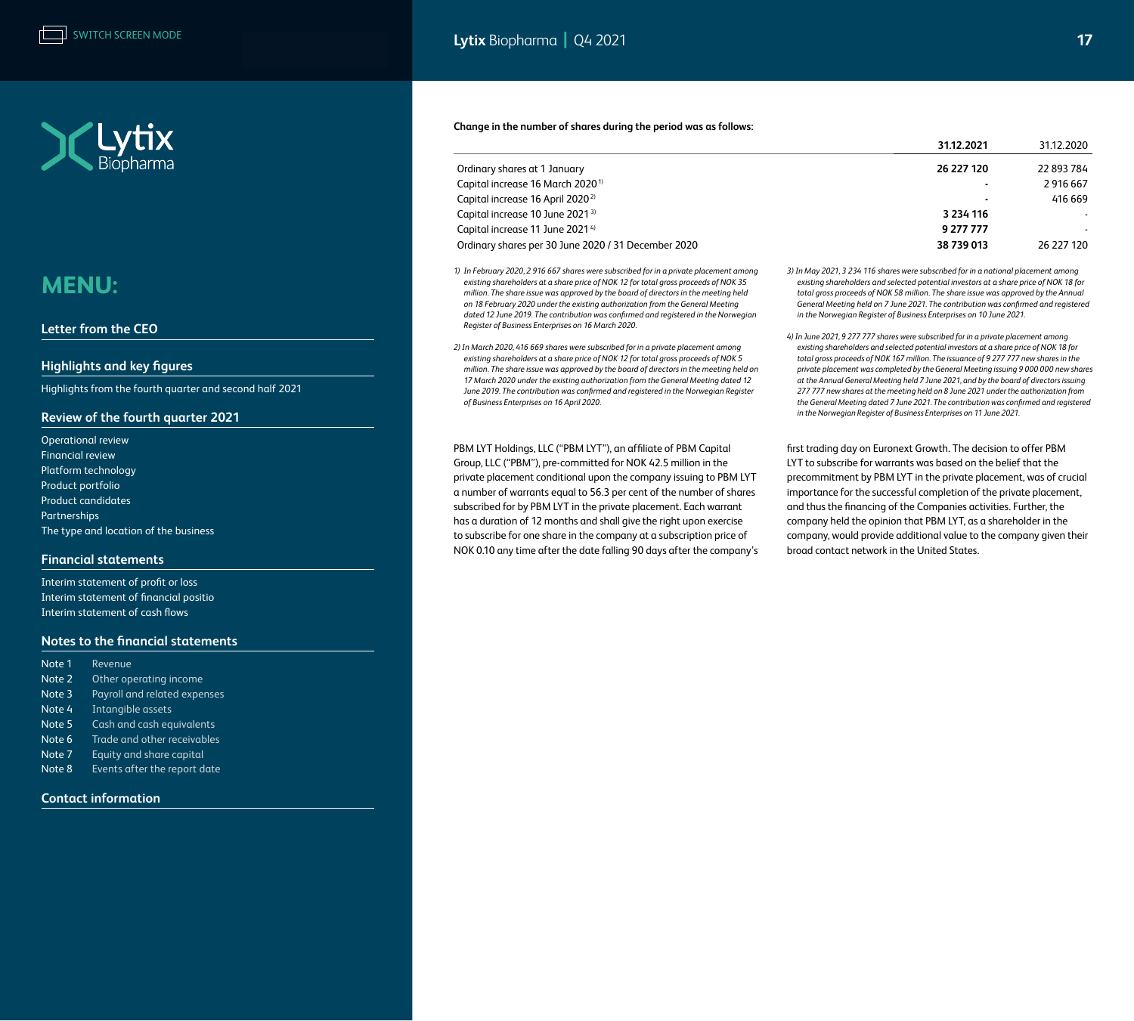

#### **[Letter from the CEO](#page-1-0)**

#### **[Highlights and key figures](#page-2-0)**

[Highlights from the fourth quarter and second half 2021](#page-2-0) 

#### **[Review of the fourth quarter 2021](#page-3-0)**

[Operational review](#page-3-0)  [Financial review](#page-4-0) [Platform technology](#page-5-0) [Product portfolio](#page-5-0) [Product candidates](#page-6-0) [Partnerships](#page-7-0) [The type and location of the business](#page-7-0)

#### **[Financial statements](#page-10-0)**

[Interim statement of profit or loss](#page-10-0) [Interim statement of financial positio](#page-11-0) [Interim statement of cash flows](#page-12-0)

#### **[Notes to the financial statements](#page-13-0)**

| Note 1 | Revenue                      |
|--------|------------------------------|
| Note 2 | Other operating income       |
| Note 3 | Payroll and related expenses |
| Note 4 | Intangible assets            |
| Note 5 | Cash and cash equivalents    |
| Note 6 | Trade and other receivables  |
| Note 7 | Equity and share capital     |
| Note 8 | Events after the report date |

**[Contact information](#page-19-0)**

#### **Change in the number of shares during the period was as follows:**

|                                                     | 31.12.2021               | 31.12.2020 |
|-----------------------------------------------------|--------------------------|------------|
| Ordinary shares at 1 January                        | 26 227 120               | 22 893 784 |
| Capital increase 16 March 2020 <sup>1)</sup>        | ٠                        | 2916667    |
| Capital increase 16 April 2020 <sup>2)</sup>        | $\overline{\phantom{a}}$ | 416 669    |
| Capital increase 10 June 2021 <sup>3)</sup>         | 3 2 3 4 1 1 6            |            |
| Capital increase 11 June 2021 <sup>4)</sup>         | 9 277 777                |            |
| Ordinary shares per 30 June 2020 / 31 December 2020 | 38 739 013               | 26 227 120 |

- *1) In February 2020, 2 916 667 shares were subscribed for in a private placement among existing shareholders at a share price of NOK 12 for total gross proceeds of NOK 35 million. The share issue was approved by the board of directors in the meeting held on 18 February 2020 under the existing authorization from the General Meeting dated 12 June 2019. The contribution was confirmed and registered in the Norwegian Register of Business Enterprises on 16 March 2020.*
- *2) In March 2020, 416 669 shares were subscribed for in a private placement among existing shareholders at a share price of NOK 12 for total gross proceeds of NOK 5 million. The share issue was approved by the board of directors in the meeting held on 17 March 2020 under the existing authorization from the General Meeting dated 12 June 2019. The contribution was confirmed and registered in the Norwegian Register of Business Enterprises on 16 April 2020.*

PBM LYT Holdings, LLC ("PBM LYT"), an affiliate of PBM Capital Group, LLC ("PBM"), pre-committed for NOK 42.5 million in the private placement conditional upon the company issuing to PBM LYT a number of warrants equal to 56.3 per cent of the number of shares subscribed for by PBM LYT in the private placement. Each warrant has a duration of 12 months and shall give the right upon exercise to subscribe for one share in the company at a subscription price of NOK 0.10 any time after the date falling 90 days after the company's *3) In May 2021, 3 234 116 shares were subscribed for in a national placement among existing shareholders and selected potential investors at a share price of NOK 18 for total gross proceeds of NOK 58 million. The share issue was approved by the Annual General Meeting held on 7 June 2021. The contribution was confirmed and registered in the Norwegian Register of Business Enterprises on 10 June 2021.*

*4) In June 2021, 9 277 777 shares were subscribed for in a private placement among existing shareholders and selected potential investors at a share price of NOK 18 for total gross proceeds of NOK 167 million. The issuance of 9 277 777 new shares in the private placement was completed by the General Meeting issuing 9 000 000 new shares at the Annual General Meeting held 7 June 2021, and by the board of directors issuing 277 777 new shares at the meeting held on 8 June 2021 under the authorization from the General Meeting dated 7 June 2021. The contribution was confirmed and registered in the Norwegian Register of Business Enterprises on 11 June 2021.*

first trading day on Euronext Growth. The decision to offer PBM LYT to subscribe for warrants was based on the belief that the precommitment by PBM LYT in the private placement, was of crucial importance for the successful completion of the private placement, and thus the financing of the Companies activities. Further, the company held the opinion that PBM LYT, as a shareholder in the company, would provide additional value to the company given their broad contact network in the United States.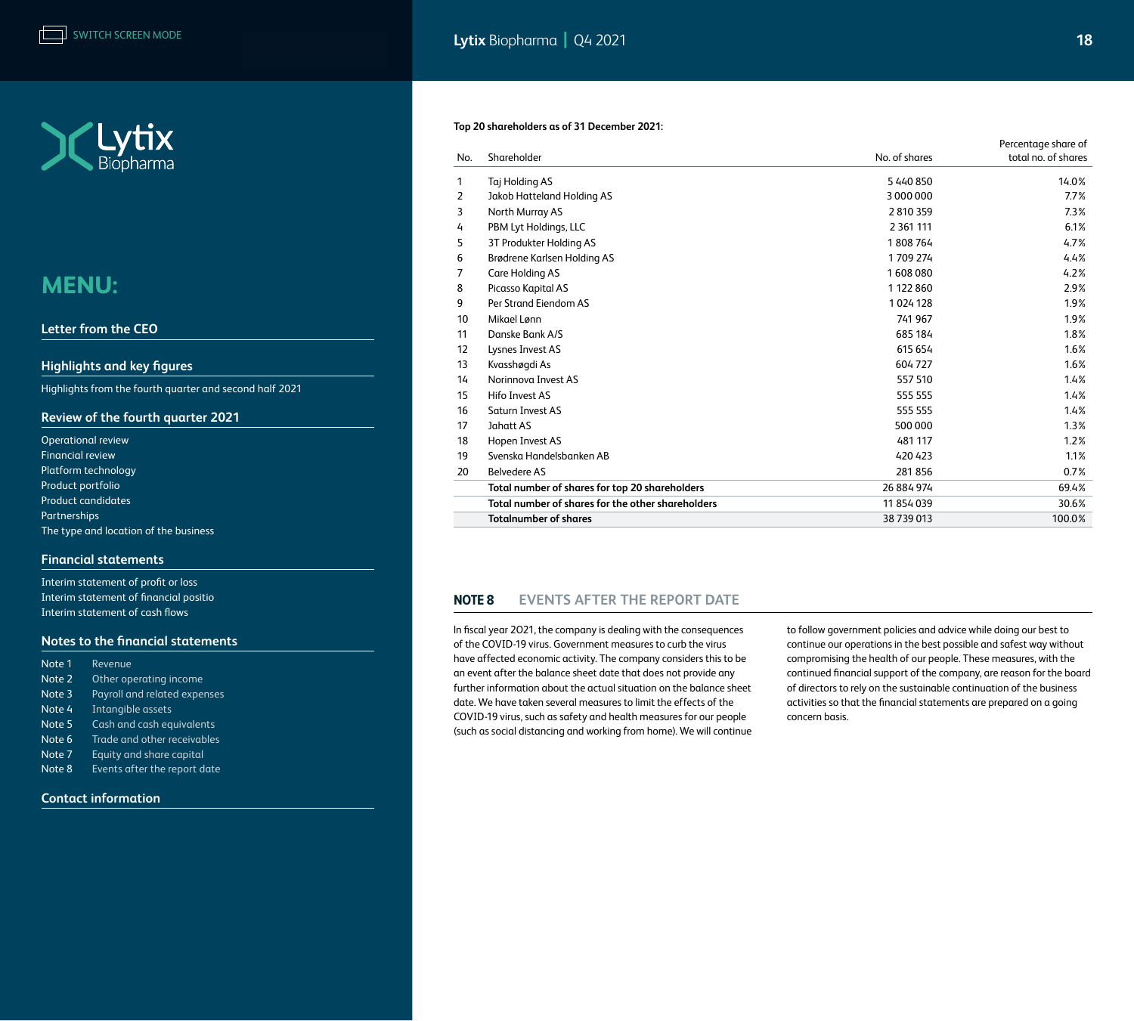<span id="page-17-0"></span>

#### **[Letter from the CEO](#page-1-0)**

#### **[Highlights and key figures](#page-2-0)**

[Highlights from the fourth quarter and second half 2021](#page-2-0) 

#### **[Review of the fourth quarter 2021](#page-3-0)**

| <b>Operational review</b>             |
|---------------------------------------|
| <b>Financial review</b>               |
| Platform technology                   |
| Product portfolio                     |
| <b>Product candidates</b>             |
| Partnerships                          |
| The type and location of the business |

#### **[Financial statements](#page-10-0)**

[Interim statement of profit or loss](#page-10-0) [Interim statement of financial positio](#page-11-0) [Interim statement of cash flows](#page-12-0)

#### **[Notes to the financial statements](#page-13-0)**

| Revenue                      |
|------------------------------|
| Other operating income       |
| Payroll and related expenses |
| Intangible assets            |
| Cash and cash equivalents    |
| Trade and other receivables  |
| Equity and share capital     |
| Events after the report date |
|                              |

#### **[Contact information](#page-19-0)**

#### **Top 20 shareholders as of 31 December 2021:**

|     |                                                   |               | Percentage share of |
|-----|---------------------------------------------------|---------------|---------------------|
| No. | Shareholder                                       | No. of shares | total no. of shares |
| 1   | Taj Holding AS                                    | 5440850       | 14.0%               |
| 2   | Jakob Hatteland Holding AS                        | 3000000       | 7.7%                |
| 3   | North Murray AS                                   | 2810359       | 7.3%                |
| 4   | PBM Lyt Holdings, LLC                             | 2 3 61 111    | 6.1%                |
| 5   | 3T Produkter Holding AS                           | 1808764       | 4.7%                |
| 6   | Brødrene Karlsen Holding AS                       | 1709274       | 4.4%                |
| 7   | Care Holding AS                                   | 1608080       | 4.2%                |
| 8   | Picasso Kapital AS                                | 1 122 860     | 2.9%                |
| 9   | Per Strand Eiendom AS                             | 1024128       | 1.9%                |
| 10  | Mikael Lønn                                       | 741 967       | 1.9%                |
| 11  | Danske Bank A/S                                   | 685 184       | 1.8%                |
| 12  | Lysnes Invest AS                                  | 615 654       | 1.6%                |
| 13  | Kvasshøgdi As                                     | 604727        | 1.6%                |
| 14  | Norinnova Invest AS                               | 557 510       | 1.4%                |
| 15  | Hifo Invest AS                                    | 555 555       | 1.4%                |
| 16  | <b>Saturn Invest AS</b>                           | 555 555       | 1.4%                |
| 17  | Jahatt AS                                         | 500 000       | 1.3%                |
| 18  | Hopen Invest AS                                   | 481 117       | 1.2%                |
| 19  | Svenska Handelsbanken AB                          | 420 423       | 1.1%                |
| 20  | <b>Belvedere AS</b>                               | 281856        | 0.7%                |
|     | Total number of shares for top 20 shareholders    | 26 884 974    | 69.4%               |
|     | Total number of shares for the other shareholders | 11 854 039    | 30.6%               |
|     | <b>Totalnumber of shares</b>                      | 38 739 013    | 100.0%              |

### **Note 8 EVENTS AFTER THE REPORT DATE**

ln fiscal year 2O21, the company is dealing with the consequences of the COVID-19 virus. Government measures to curb the virus have affected economic activity. The company considers this to be an event after the balance sheet date that does not provide any further information about the actual situation on the balance sheet date. We have taken several measures to limit the effects of the COVID-19 virus, such as safety and health measures for our people (such as social distancing and working from home). We will continue to follow government policies and advice while doing our best to continue our operations in the best possible and safest way without compromising the health of our people. These measures, with the continued financial support of the company, are reason for the board of directors to rely on the sustainable continuation of the business activities so that the financial statements are prepared on a going concern basis.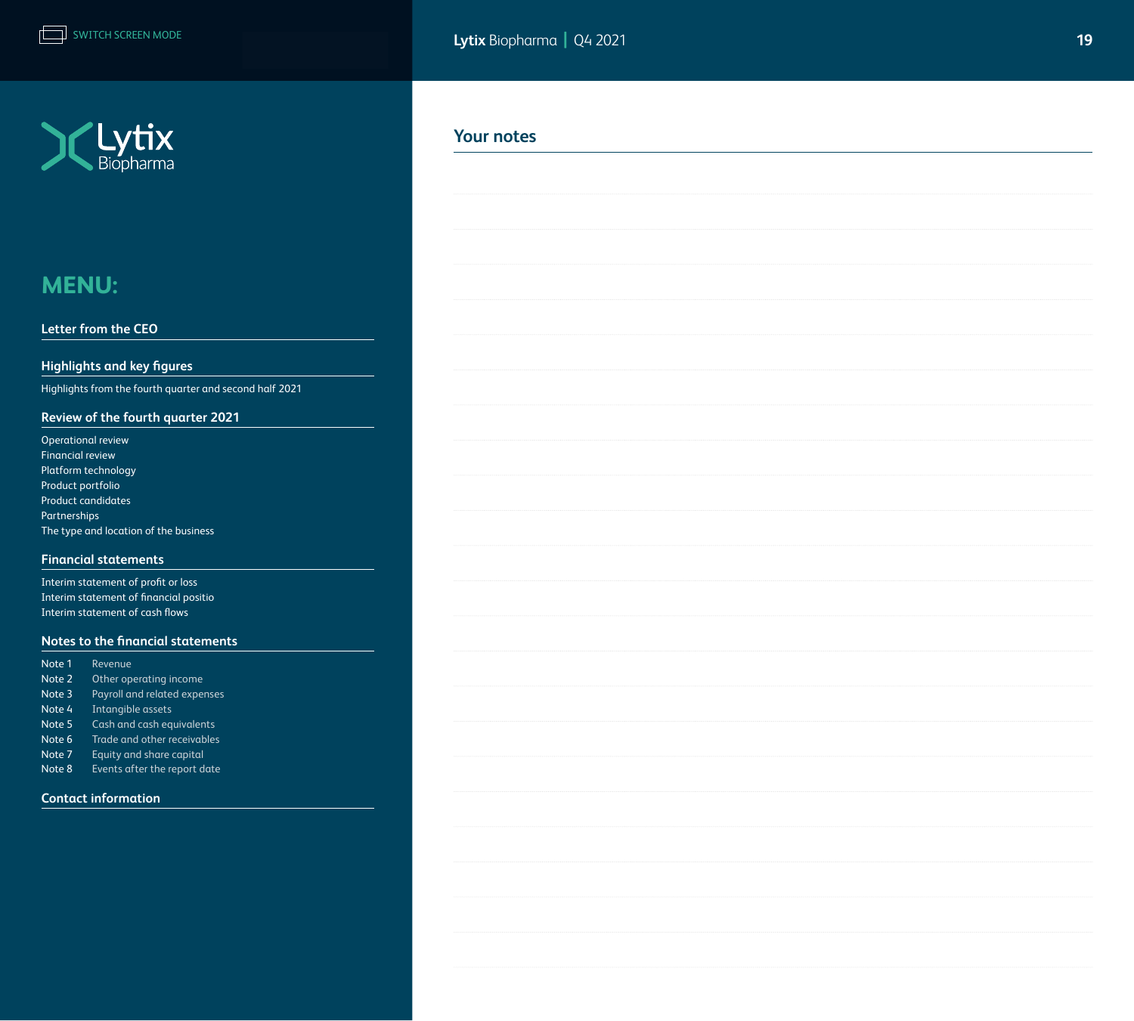

#### **[Letter from the CEO](#page-1-0)**

### **[Highlights and key figures](#page-2-0)**

[Highlights from the fourth quarter and second half 2021](#page-2-0) 

### **[Review of the fourth quarter 2021](#page-3-0)**

| <b>Operational review</b>             |
|---------------------------------------|
| <b>Financial review</b>               |
| Platform technology                   |
| Product portfolio                     |
| <b>Product candidates</b>             |
| <b>Partnerships</b>                   |
| The type and location of the business |

#### **[Financial statements](#page-10-0)**

[Interim statement of profit or loss](#page-10-0) [Interim statement of financial positio](#page-11-0) [Interim statement of cash flows](#page-12-0)

#### **[Notes to the financial statements](#page-13-0)**

| Note 1 | Revenue                      |
|--------|------------------------------|
| Note 2 | Other operating income       |
| Note 3 | Payroll and related expenses |
| Note 4 | Intangible assets            |
| Note 5 | Cash and cash equivalents    |
| Note 6 | Trade and other receivables  |
| Note 7 | Equity and share capital     |
| Note 8 | Events after the report date |
|        |                              |

#### **[Contact information](#page-19-0)**

### **Your notes**